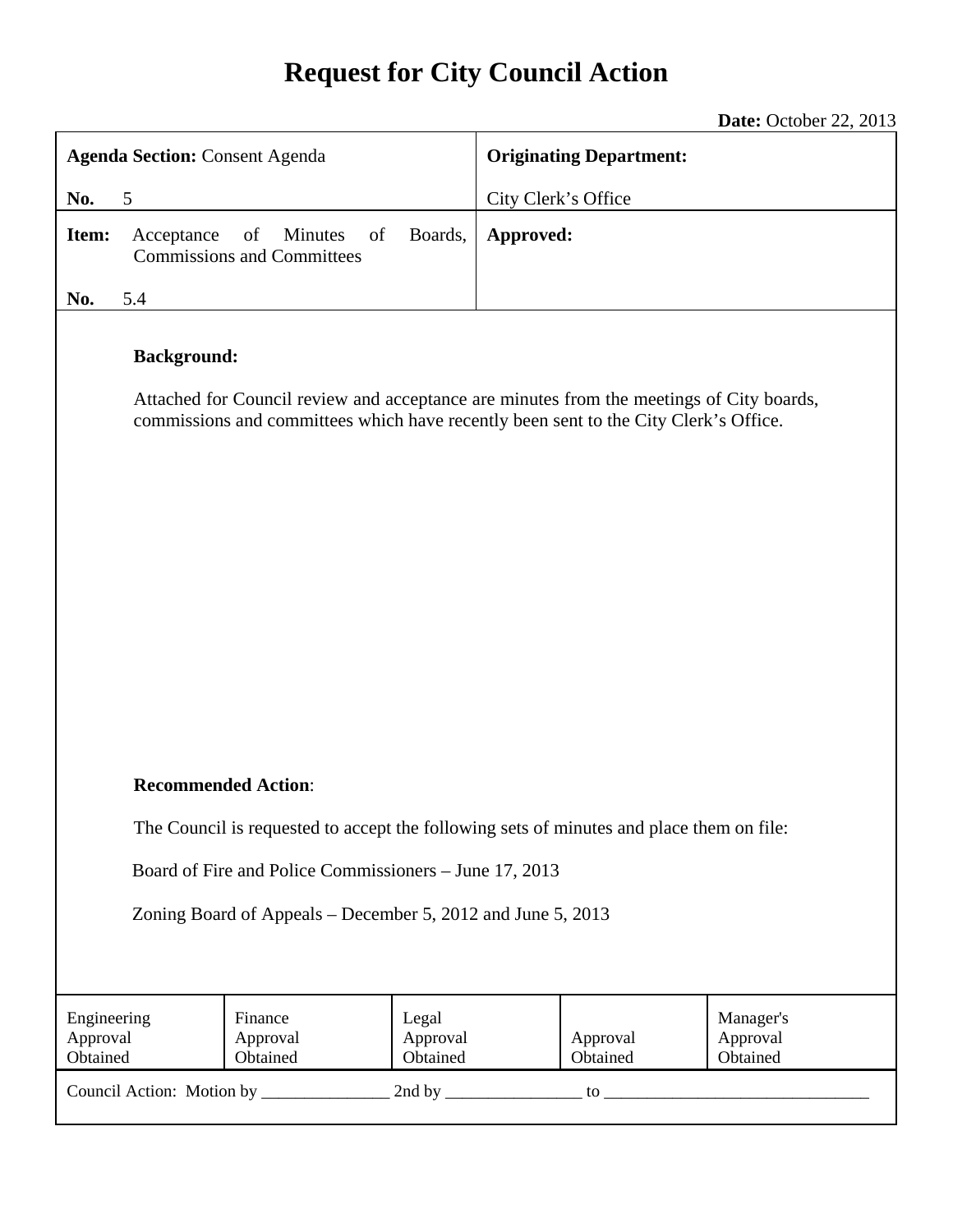## **Request for City Council Action**

**Date:** October 22, 2013

| <b>Agenda Section: Consent Agenda</b>                                                                                  |                    |                                                                                                                                                                                  |                               | <b>Originating Department:</b> |                      |                                   |  |
|------------------------------------------------------------------------------------------------------------------------|--------------------|----------------------------------------------------------------------------------------------------------------------------------------------------------------------------------|-------------------------------|--------------------------------|----------------------|-----------------------------------|--|
| No.<br>5                                                                                                               |                    |                                                                                                                                                                                  |                               | City Clerk's Office            |                      |                                   |  |
| Item:                                                                                                                  | Acceptance         | of<br><b>Minutes</b><br>of<br><b>Commissions and Committees</b>                                                                                                                  | Boards,                       | Approved:                      |                      |                                   |  |
| No.                                                                                                                    | 5.4                |                                                                                                                                                                                  |                               |                                |                      |                                   |  |
|                                                                                                                        | <b>Background:</b> | Attached for Council review and acceptance are minutes from the meetings of City boards,<br>commissions and committees which have recently been sent to the City Clerk's Office. |                               |                                |                      |                                   |  |
| <b>Recommended Action:</b><br>The Council is requested to accept the following sets of minutes and place them on file: |                    |                                                                                                                                                                                  |                               |                                |                      |                                   |  |
|                                                                                                                        |                    |                                                                                                                                                                                  |                               |                                |                      |                                   |  |
| Board of Fire and Police Commissioners - June 17, 2013<br>Zoning Board of Appeals – December 5, 2012 and June 5, 2013  |                    |                                                                                                                                                                                  |                               |                                |                      |                                   |  |
| Engineering<br>Approval<br>Obtained                                                                                    |                    | Finance<br>Approval<br>Obtained                                                                                                                                                  | Legal<br>Approval<br>Obtained |                                | Approval<br>Obtained | Manager's<br>Approval<br>Obtained |  |
|                                                                                                                        |                    |                                                                                                                                                                                  |                               |                                |                      |                                   |  |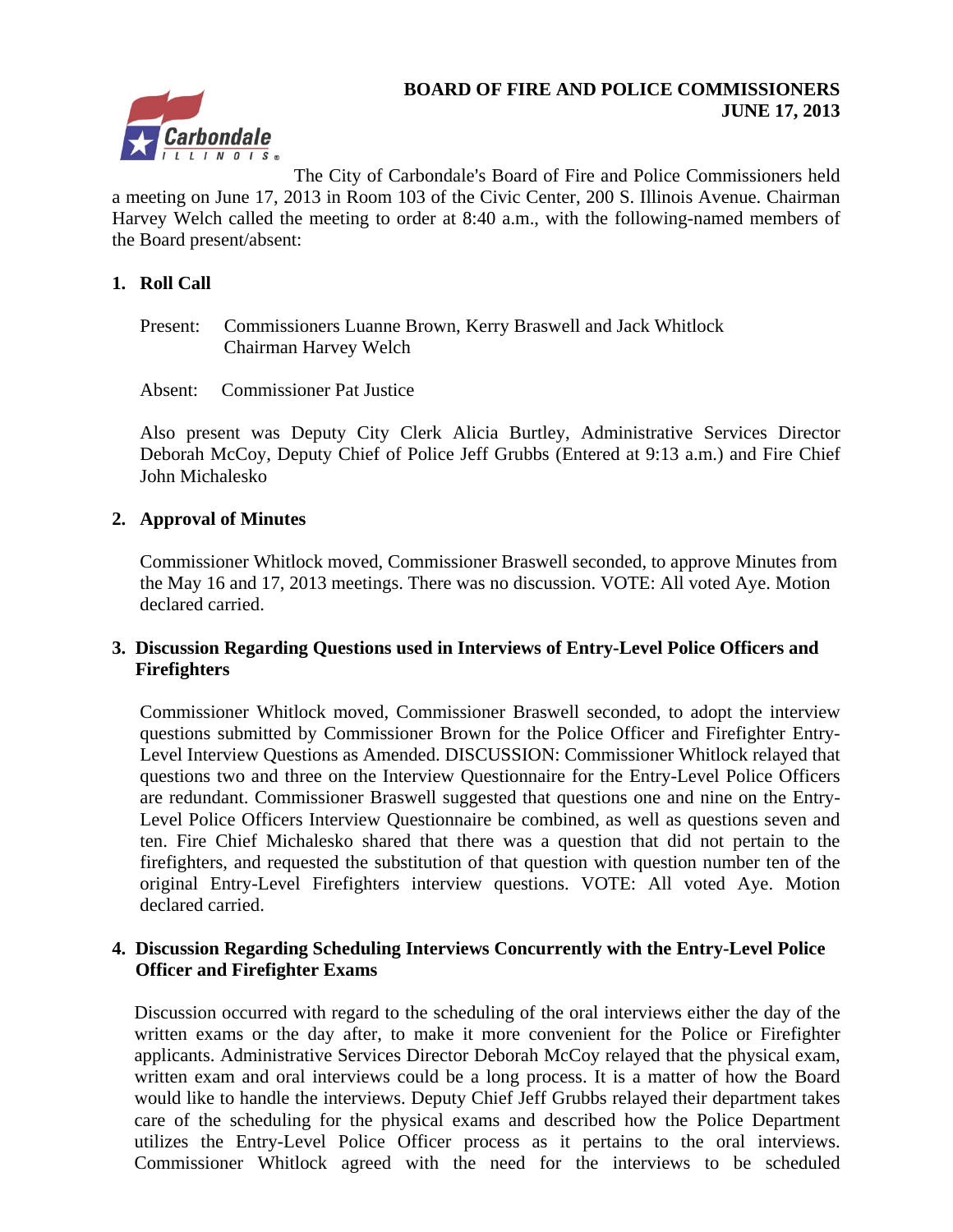# rbondale

#### **BOARD OF FIRE AND POLICE COMMISSIONERS JUNE 17, 2013**

The City of Carbondale's Board of Fire and Police Commissioners held a meeting on June 17, 2013 in Room 103 of the Civic Center, 200 S. Illinois Avenue. Chairman Harvey Welch called the meeting to order at 8:40 a.m., with the following-named members of the Board present/absent:

#### **1. Roll Call**

- Present: Commissioners Luanne Brown, Kerry Braswell and Jack Whitlock Chairman Harvey Welch
- Absent: Commissioner Pat Justice

Also present was Deputy City Clerk Alicia Burtley, Administrative Services Director Deborah McCoy, Deputy Chief of Police Jeff Grubbs (Entered at 9:13 a.m.) and Fire Chief John Michalesko

#### **2. Approval of Minutes**

Commissioner Whitlock moved, Commissioner Braswell seconded, to approve Minutes from the May 16 and 17, 2013 meetings. There was no discussion. VOTE: All voted Aye. Motion declared carried.

#### **3. Discussion Regarding Questions used in Interviews of Entry-Level Police Officers and Firefighters**

Commissioner Whitlock moved, Commissioner Braswell seconded, to adopt the interview questions submitted by Commissioner Brown for the Police Officer and Firefighter Entry-Level Interview Questions as Amended. DISCUSSION: Commissioner Whitlock relayed that questions two and three on the Interview Questionnaire for the Entry-Level Police Officers are redundant. Commissioner Braswell suggested that questions one and nine on the Entry-Level Police Officers Interview Questionnaire be combined, as well as questions seven and ten. Fire Chief Michalesko shared that there was a question that did not pertain to the firefighters, and requested the substitution of that question with question number ten of the original Entry-Level Firefighters interview questions. VOTE: All voted Aye. Motion declared carried.

#### **4. Discussion Regarding Scheduling Interviews Concurrently with the Entry-Level Police Officer and Firefighter Exams**

Discussion occurred with regard to the scheduling of the oral interviews either the day of the written exams or the day after, to make it more convenient for the Police or Firefighter applicants. Administrative Services Director Deborah McCoy relayed that the physical exam, written exam and oral interviews could be a long process. It is a matter of how the Board would like to handle the interviews. Deputy Chief Jeff Grubbs relayed their department takes care of the scheduling for the physical exams and described how the Police Department utilizes the Entry-Level Police Officer process as it pertains to the oral interviews. Commissioner Whitlock agreed with the need for the interviews to be scheduled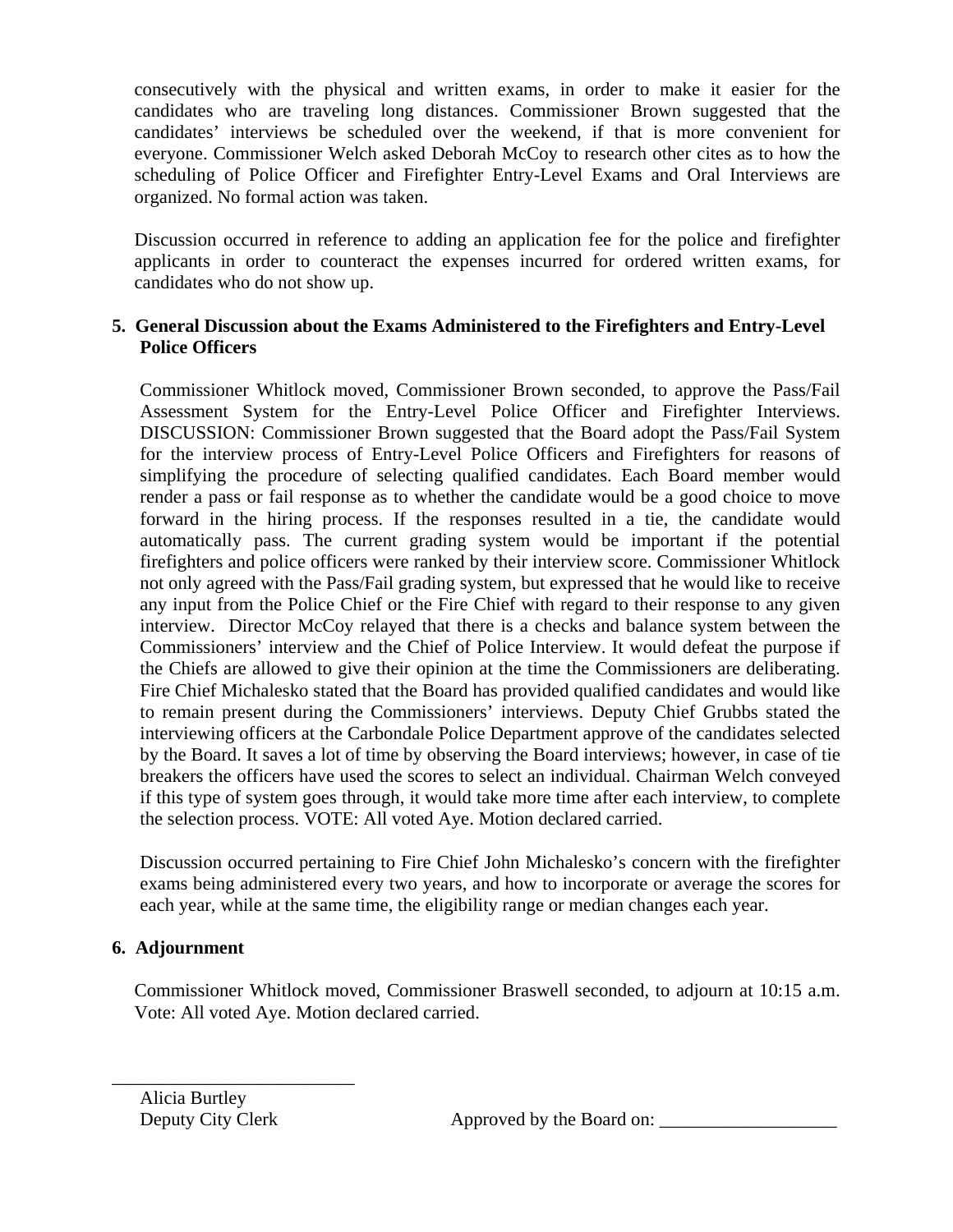consecutively with the physical and written exams, in order to make it easier for the candidates who are traveling long distances. Commissioner Brown suggested that the candidates' interviews be scheduled over the weekend, if that is more convenient for everyone. Commissioner Welch asked Deborah McCoy to research other cites as to how the scheduling of Police Officer and Firefighter Entry-Level Exams and Oral Interviews are organized. No formal action was taken.

Discussion occurred in reference to adding an application fee for the police and firefighter applicants in order to counteract the expenses incurred for ordered written exams, for candidates who do not show up.

#### **5. General Discussion about the Exams Administered to the Firefighters and Entry-Level Police Officers**

Commissioner Whitlock moved, Commissioner Brown seconded, to approve the Pass/Fail Assessment System for the Entry-Level Police Officer and Firefighter Interviews. DISCUSSION: Commissioner Brown suggested that the Board adopt the Pass/Fail System for the interview process of Entry-Level Police Officers and Firefighters for reasons of simplifying the procedure of selecting qualified candidates. Each Board member would render a pass or fail response as to whether the candidate would be a good choice to move forward in the hiring process. If the responses resulted in a tie, the candidate would automatically pass. The current grading system would be important if the potential firefighters and police officers were ranked by their interview score. Commissioner Whitlock not only agreed with the Pass/Fail grading system, but expressed that he would like to receive any input from the Police Chief or the Fire Chief with regard to their response to any given interview. Director McCoy relayed that there is a checks and balance system between the Commissioners' interview and the Chief of Police Interview. It would defeat the purpose if the Chiefs are allowed to give their opinion at the time the Commissioners are deliberating. Fire Chief Michalesko stated that the Board has provided qualified candidates and would like to remain present during the Commissioners' interviews. Deputy Chief Grubbs stated the interviewing officers at the Carbondale Police Department approve of the candidates selected by the Board. It saves a lot of time by observing the Board interviews; however, in case of tie breakers the officers have used the scores to select an individual. Chairman Welch conveyed if this type of system goes through, it would take more time after each interview, to complete the selection process. VOTE: All voted Aye. Motion declared carried.

Discussion occurred pertaining to Fire Chief John Michalesko's concern with the firefighter exams being administered every two years, and how to incorporate or average the scores for each year, while at the same time, the eligibility range or median changes each year.

#### **6. Adjournment**

Commissioner Whitlock moved, Commissioner Braswell seconded, to adjourn at 10:15 a.m. Vote: All voted Aye. Motion declared carried.

Alicia Burtley

\_\_\_\_\_\_\_\_\_\_\_\_\_\_\_\_\_\_\_\_\_\_\_\_\_\_

Deputy City Clerk Approved by the Board on: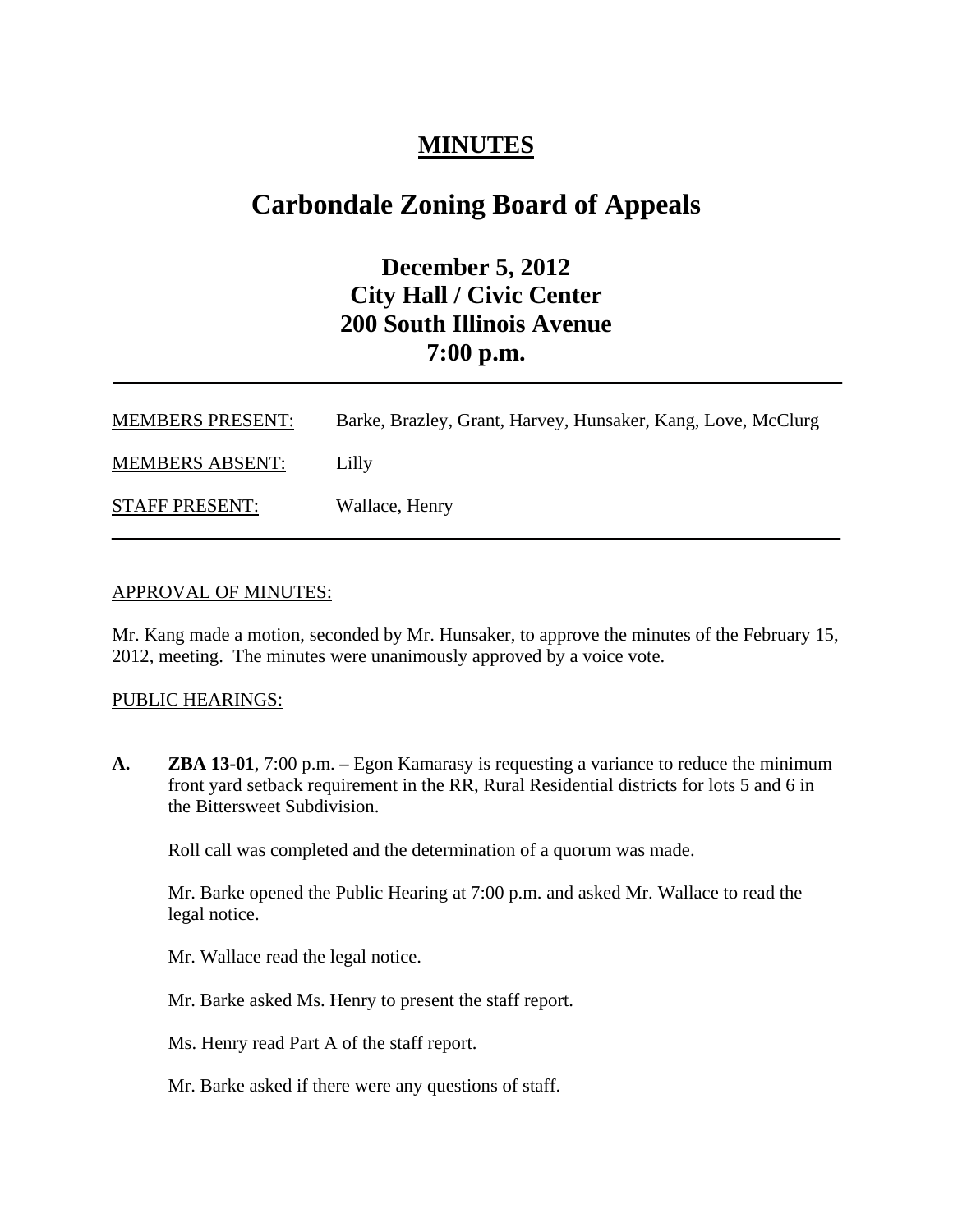## **MINUTES**

## **Carbondale Zoning Board of Appeals**

## **December 5, 2012 City Hall / Civic Center 200 South Illinois Avenue 7:00 p.m.**

| <b>MEMBERS PRESENT:</b> | Barke, Brazley, Grant, Harvey, Hunsaker, Kang, Love, McClurg |
|-------------------------|--------------------------------------------------------------|
| <b>MEMBERS ABSENT:</b>  | Lilly                                                        |
| <b>STAFF PRESENT:</b>   | Wallace, Henry                                               |

#### APPROVAL OF MINUTES:

Mr. Kang made a motion, seconded by Mr. Hunsaker, to approve the minutes of the February 15, 2012, meeting. The minutes were unanimously approved by a voice vote.

#### PUBLIC HEARINGS:

**A. ZBA 13-01**, 7:00 p.m. **–** Egon Kamarasy is requesting a variance to reduce the minimum front yard setback requirement in the RR, Rural Residential districts for lots 5 and 6 in the Bittersweet Subdivision.

Roll call was completed and the determination of a quorum was made.

Mr. Barke opened the Public Hearing at 7:00 p.m. and asked Mr. Wallace to read the legal notice.

Mr. Wallace read the legal notice.

Mr. Barke asked Ms. Henry to present the staff report.

Ms. Henry read Part A of the staff report.

Mr. Barke asked if there were any questions of staff.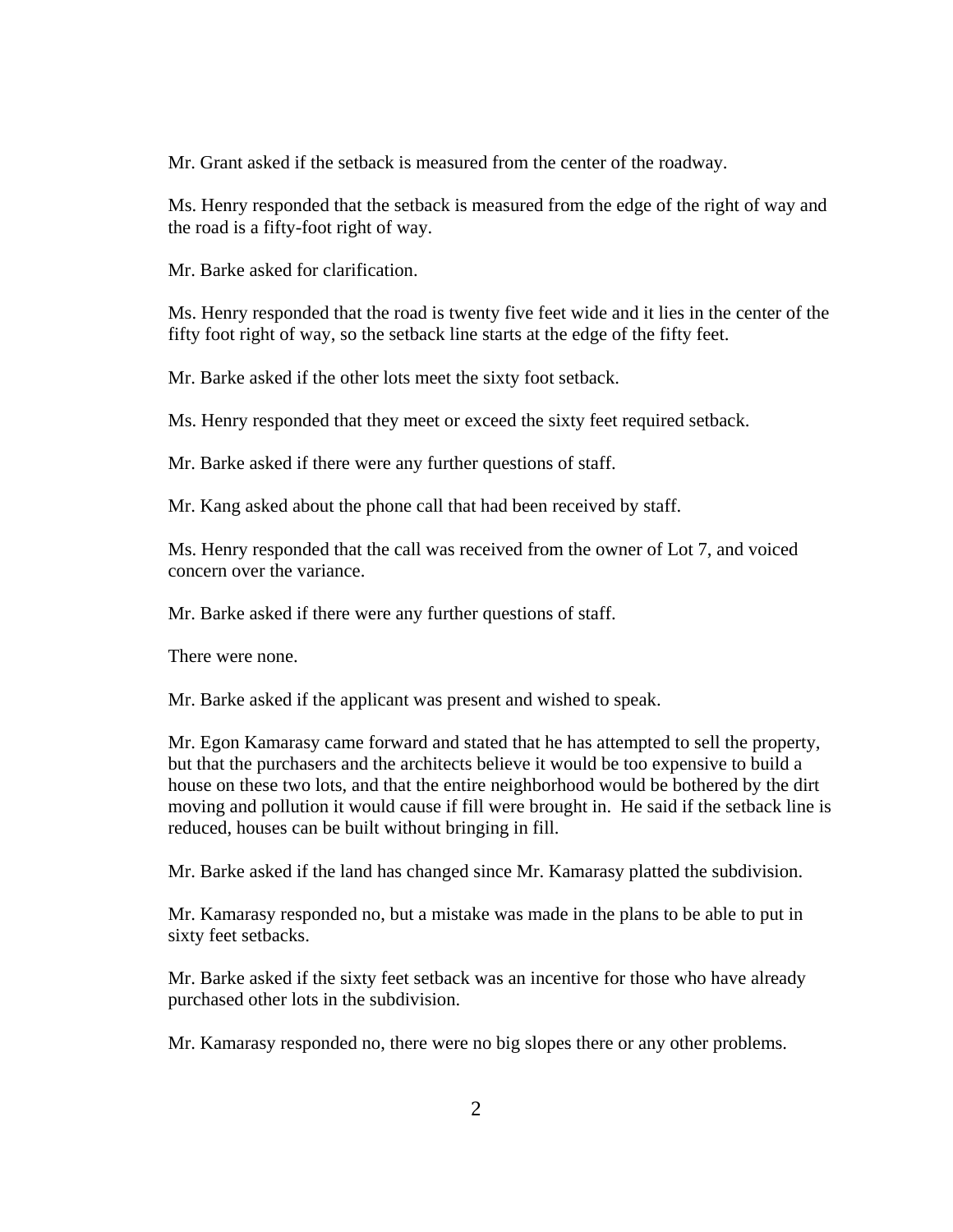Mr. Grant asked if the setback is measured from the center of the roadway.

Ms. Henry responded that the setback is measured from the edge of the right of way and the road is a fifty-foot right of way.

Mr. Barke asked for clarification.

Ms. Henry responded that the road is twenty five feet wide and it lies in the center of the fifty foot right of way, so the setback line starts at the edge of the fifty feet.

Mr. Barke asked if the other lots meet the sixty foot setback.

Ms. Henry responded that they meet or exceed the sixty feet required setback.

Mr. Barke asked if there were any further questions of staff.

Mr. Kang asked about the phone call that had been received by staff.

Ms. Henry responded that the call was received from the owner of Lot 7, and voiced concern over the variance.

Mr. Barke asked if there were any further questions of staff.

There were none.

Mr. Barke asked if the applicant was present and wished to speak.

Mr. Egon Kamarasy came forward and stated that he has attempted to sell the property, but that the purchasers and the architects believe it would be too expensive to build a house on these two lots, and that the entire neighborhood would be bothered by the dirt moving and pollution it would cause if fill were brought in. He said if the setback line is reduced, houses can be built without bringing in fill.

Mr. Barke asked if the land has changed since Mr. Kamarasy platted the subdivision.

Mr. Kamarasy responded no, but a mistake was made in the plans to be able to put in sixty feet setbacks.

Mr. Barke asked if the sixty feet setback was an incentive for those who have already purchased other lots in the subdivision.

Mr. Kamarasy responded no, there were no big slopes there or any other problems.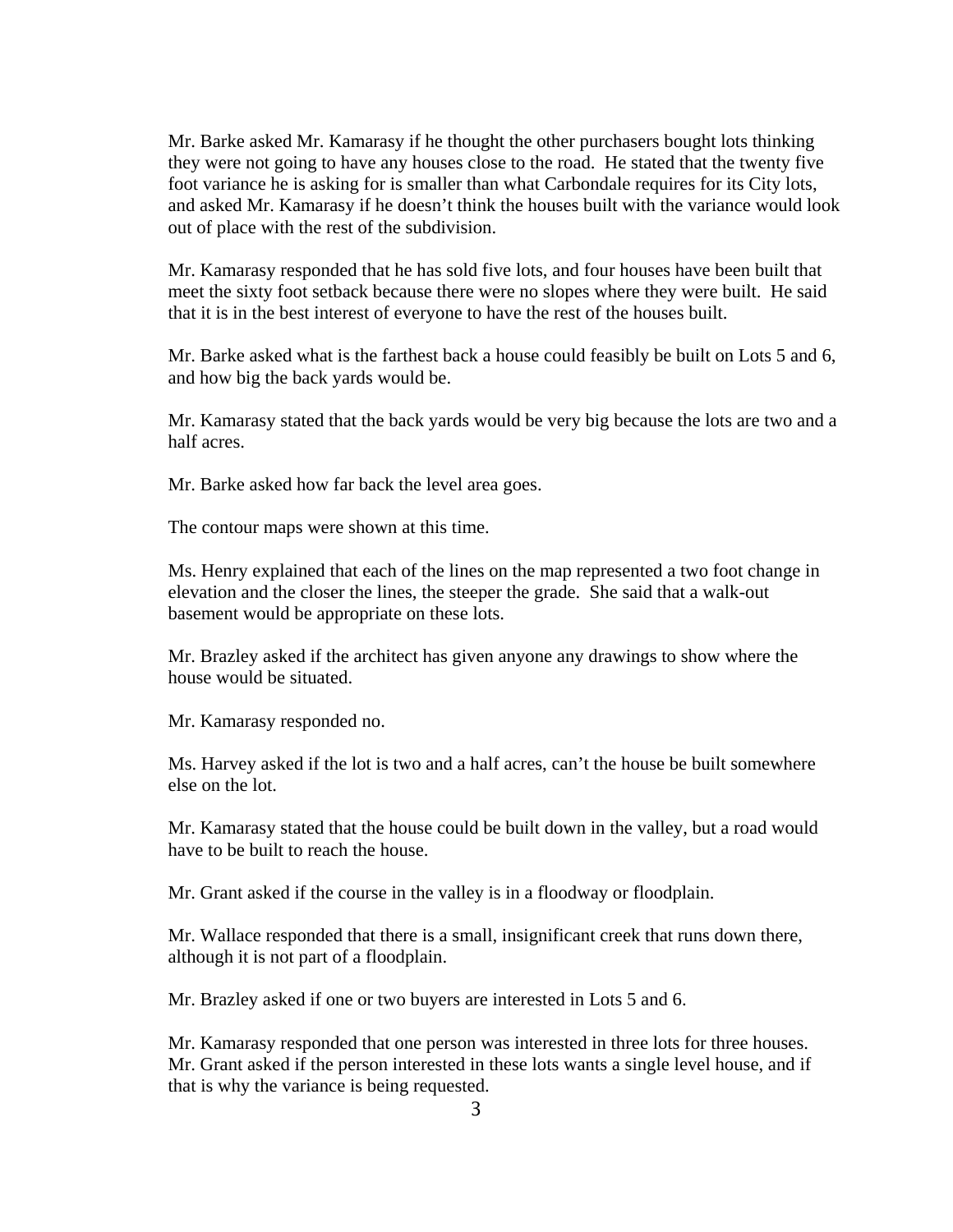Mr. Barke asked Mr. Kamarasy if he thought the other purchasers bought lots thinking they were not going to have any houses close to the road. He stated that the twenty five foot variance he is asking for is smaller than what Carbondale requires for its City lots, and asked Mr. Kamarasy if he doesn't think the houses built with the variance would look out of place with the rest of the subdivision.

Mr. Kamarasy responded that he has sold five lots, and four houses have been built that meet the sixty foot setback because there were no slopes where they were built. He said that it is in the best interest of everyone to have the rest of the houses built.

Mr. Barke asked what is the farthest back a house could feasibly be built on Lots 5 and 6, and how big the back yards would be.

Mr. Kamarasy stated that the back yards would be very big because the lots are two and a half acres.

Mr. Barke asked how far back the level area goes.

The contour maps were shown at this time.

Ms. Henry explained that each of the lines on the map represented a two foot change in elevation and the closer the lines, the steeper the grade. She said that a walk-out basement would be appropriate on these lots.

Mr. Brazley asked if the architect has given anyone any drawings to show where the house would be situated.

Mr. Kamarasy responded no.

Ms. Harvey asked if the lot is two and a half acres, can't the house be built somewhere else on the lot.

Mr. Kamarasy stated that the house could be built down in the valley, but a road would have to be built to reach the house.

Mr. Grant asked if the course in the valley is in a floodway or floodplain.

Mr. Wallace responded that there is a small, insignificant creek that runs down there, although it is not part of a floodplain.

Mr. Brazley asked if one or two buyers are interested in Lots 5 and 6.

Mr. Kamarasy responded that one person was interested in three lots for three houses. Mr. Grant asked if the person interested in these lots wants a single level house, and if that is why the variance is being requested.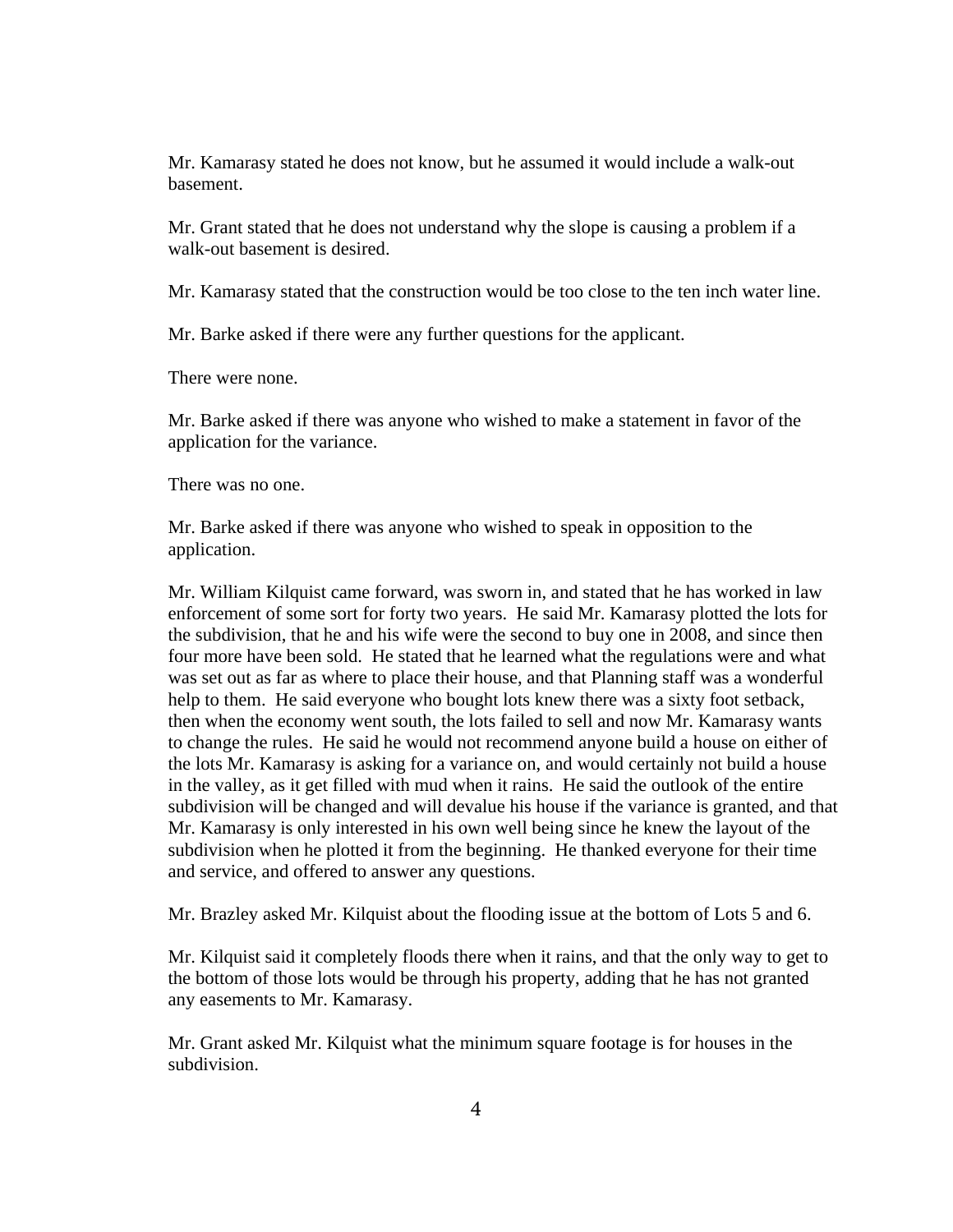Mr. Kamarasy stated he does not know, but he assumed it would include a walk-out basement.

Mr. Grant stated that he does not understand why the slope is causing a problem if a walk-out basement is desired.

Mr. Kamarasy stated that the construction would be too close to the ten inch water line.

Mr. Barke asked if there were any further questions for the applicant.

There were none.

Mr. Barke asked if there was anyone who wished to make a statement in favor of the application for the variance.

There was no one.

Mr. Barke asked if there was anyone who wished to speak in opposition to the application.

Mr. William Kilquist came forward, was sworn in, and stated that he has worked in law enforcement of some sort for forty two years. He said Mr. Kamarasy plotted the lots for the subdivision, that he and his wife were the second to buy one in 2008, and since then four more have been sold. He stated that he learned what the regulations were and what was set out as far as where to place their house, and that Planning staff was a wonderful help to them. He said everyone who bought lots knew there was a sixty foot setback, then when the economy went south, the lots failed to sell and now Mr. Kamarasy wants to change the rules. He said he would not recommend anyone build a house on either of the lots Mr. Kamarasy is asking for a variance on, and would certainly not build a house in the valley, as it get filled with mud when it rains. He said the outlook of the entire subdivision will be changed and will devalue his house if the variance is granted, and that Mr. Kamarasy is only interested in his own well being since he knew the layout of the subdivision when he plotted it from the beginning. He thanked everyone for their time and service, and offered to answer any questions.

Mr. Brazley asked Mr. Kilquist about the flooding issue at the bottom of Lots 5 and 6.

Mr. Kilquist said it completely floods there when it rains, and that the only way to get to the bottom of those lots would be through his property, adding that he has not granted any easements to Mr. Kamarasy.

Mr. Grant asked Mr. Kilquist what the minimum square footage is for houses in the subdivision.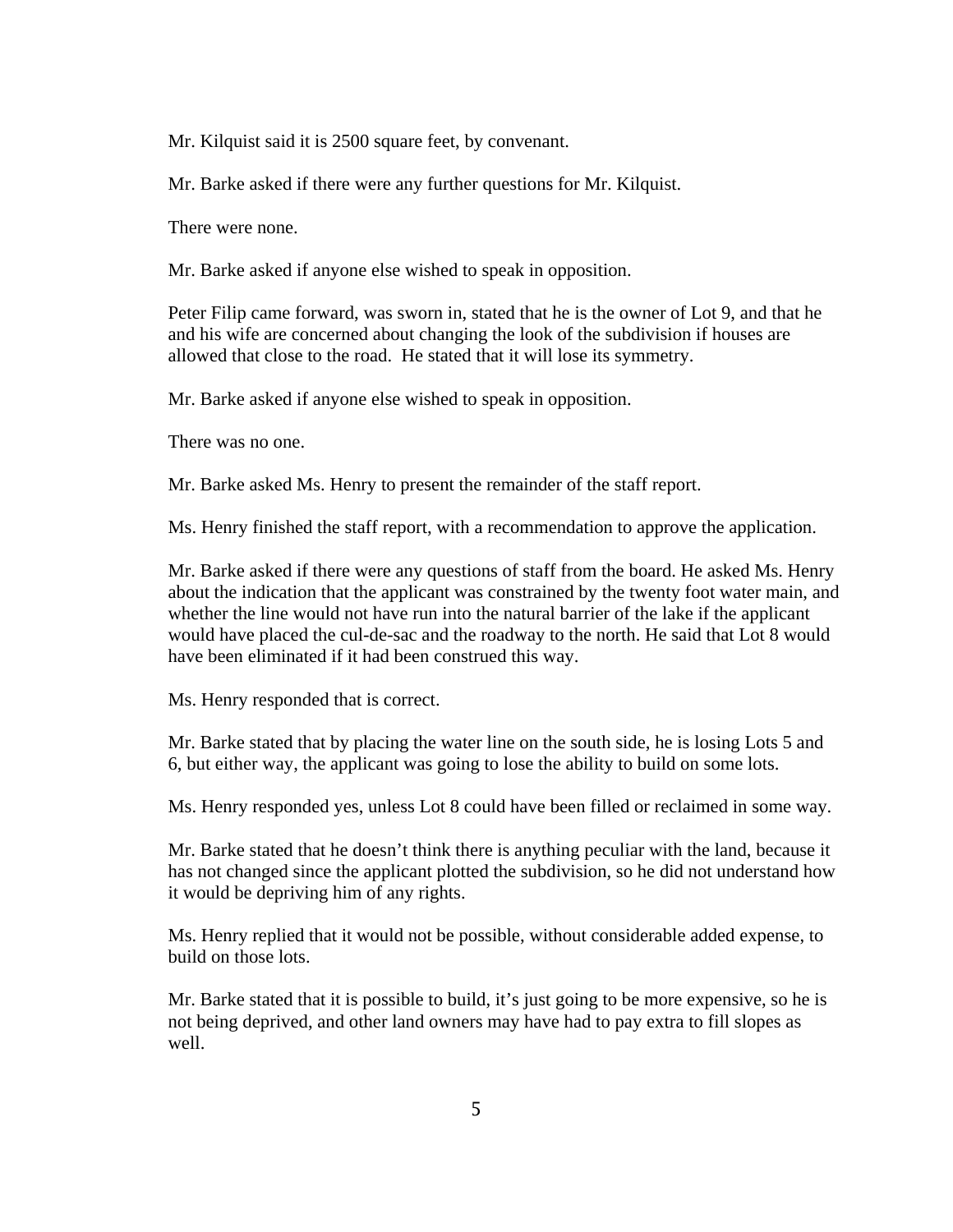Mr. Kilquist said it is 2500 square feet, by convenant.

Mr. Barke asked if there were any further questions for Mr. Kilquist.

There were none.

Mr. Barke asked if anyone else wished to speak in opposition.

Peter Filip came forward, was sworn in, stated that he is the owner of Lot 9, and that he and his wife are concerned about changing the look of the subdivision if houses are allowed that close to the road. He stated that it will lose its symmetry.

Mr. Barke asked if anyone else wished to speak in opposition.

There was no one.

Mr. Barke asked Ms. Henry to present the remainder of the staff report.

Ms. Henry finished the staff report, with a recommendation to approve the application.

Mr. Barke asked if there were any questions of staff from the board. He asked Ms. Henry about the indication that the applicant was constrained by the twenty foot water main, and whether the line would not have run into the natural barrier of the lake if the applicant would have placed the cul-de-sac and the roadway to the north. He said that Lot 8 would have been eliminated if it had been construed this way.

Ms. Henry responded that is correct.

Mr. Barke stated that by placing the water line on the south side, he is losing Lots 5 and 6, but either way, the applicant was going to lose the ability to build on some lots.

Ms. Henry responded yes, unless Lot 8 could have been filled or reclaimed in some way.

Mr. Barke stated that he doesn't think there is anything peculiar with the land, because it has not changed since the applicant plotted the subdivision, so he did not understand how it would be depriving him of any rights.

Ms. Henry replied that it would not be possible, without considerable added expense, to build on those lots.

Mr. Barke stated that it is possible to build, it's just going to be more expensive, so he is not being deprived, and other land owners may have had to pay extra to fill slopes as well.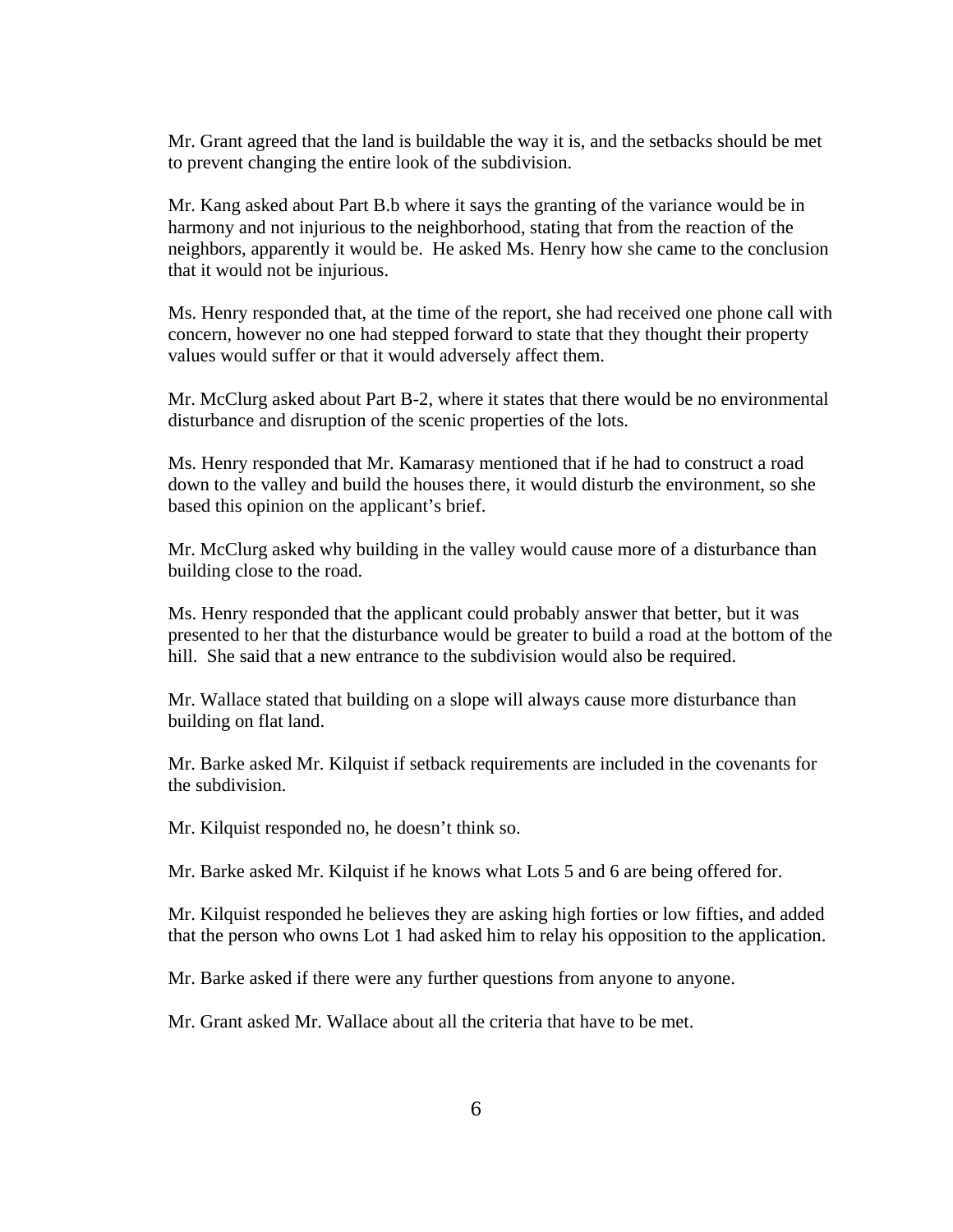Mr. Grant agreed that the land is buildable the way it is, and the setbacks should be met to prevent changing the entire look of the subdivision.

Mr. Kang asked about Part B.b where it says the granting of the variance would be in harmony and not injurious to the neighborhood, stating that from the reaction of the neighbors, apparently it would be. He asked Ms. Henry how she came to the conclusion that it would not be injurious.

Ms. Henry responded that, at the time of the report, she had received one phone call with concern, however no one had stepped forward to state that they thought their property values would suffer or that it would adversely affect them.

Mr. McClurg asked about Part B-2, where it states that there would be no environmental disturbance and disruption of the scenic properties of the lots.

Ms. Henry responded that Mr. Kamarasy mentioned that if he had to construct a road down to the valley and build the houses there, it would disturb the environment, so she based this opinion on the applicant's brief.

Mr. McClurg asked why building in the valley would cause more of a disturbance than building close to the road.

Ms. Henry responded that the applicant could probably answer that better, but it was presented to her that the disturbance would be greater to build a road at the bottom of the hill. She said that a new entrance to the subdivision would also be required.

Mr. Wallace stated that building on a slope will always cause more disturbance than building on flat land.

Mr. Barke asked Mr. Kilquist if setback requirements are included in the covenants for the subdivision.

Mr. Kilquist responded no, he doesn't think so.

Mr. Barke asked Mr. Kilquist if he knows what Lots 5 and 6 are being offered for.

Mr. Kilquist responded he believes they are asking high forties or low fifties, and added that the person who owns Lot 1 had asked him to relay his opposition to the application.

Mr. Barke asked if there were any further questions from anyone to anyone.

Mr. Grant asked Mr. Wallace about all the criteria that have to be met.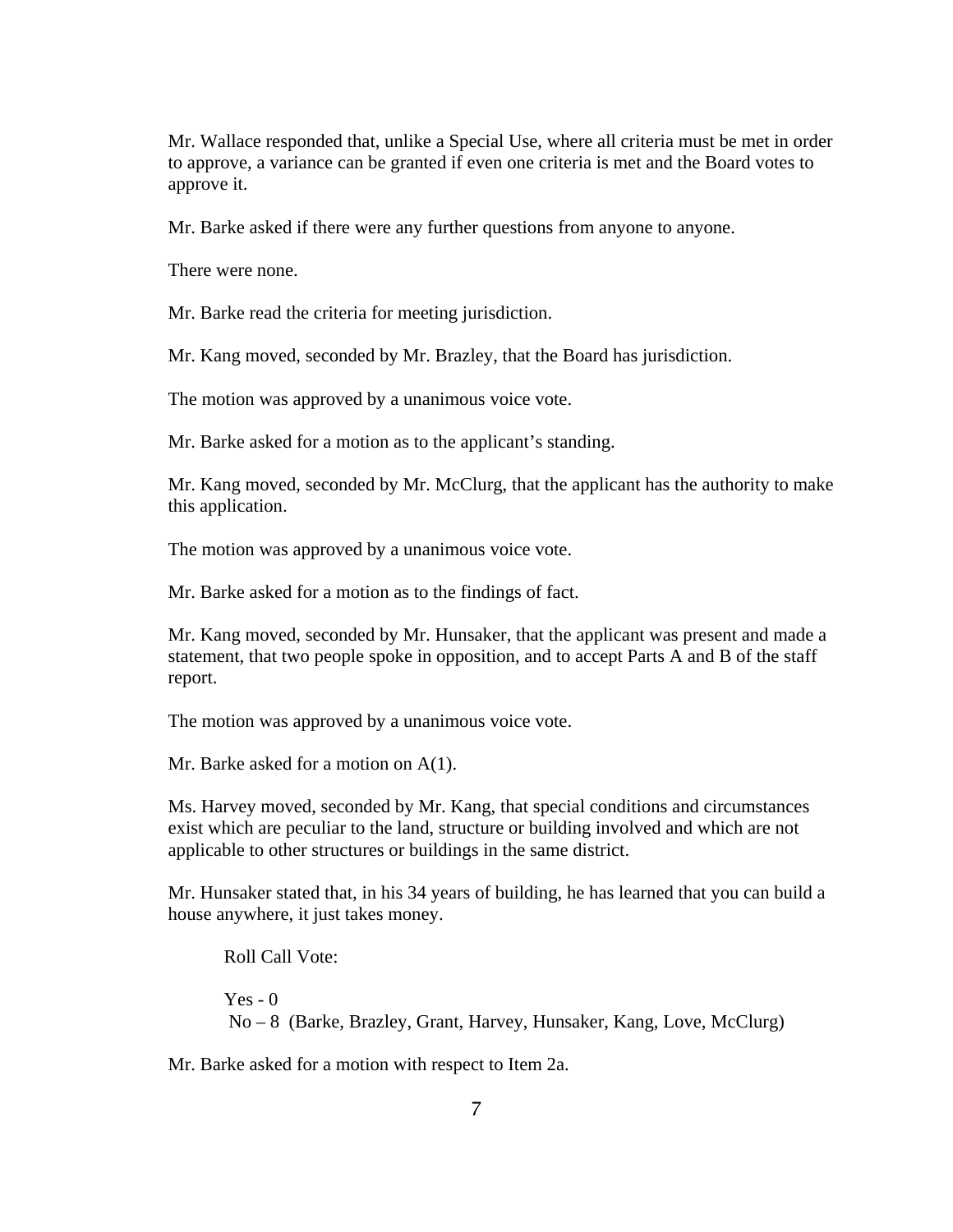Mr. Wallace responded that, unlike a Special Use, where all criteria must be met in order to approve, a variance can be granted if even one criteria is met and the Board votes to approve it.

Mr. Barke asked if there were any further questions from anyone to anyone.

There were none.

Mr. Barke read the criteria for meeting jurisdiction.

Mr. Kang moved, seconded by Mr. Brazley, that the Board has jurisdiction.

The motion was approved by a unanimous voice vote.

Mr. Barke asked for a motion as to the applicant's standing.

Mr. Kang moved, seconded by Mr. McClurg, that the applicant has the authority to make this application.

The motion was approved by a unanimous voice vote.

Mr. Barke asked for a motion as to the findings of fact.

Mr. Kang moved, seconded by Mr. Hunsaker, that the applicant was present and made a statement, that two people spoke in opposition, and to accept Parts A and B of the staff report.

The motion was approved by a unanimous voice vote.

Mr. Barke asked for a motion on A(1).

Ms. Harvey moved, seconded by Mr. Kang, that special conditions and circumstances exist which are peculiar to the land, structure or building involved and which are not applicable to other structures or buildings in the same district.

Mr. Hunsaker stated that, in his 34 years of building, he has learned that you can build a house anywhere, it just takes money.

Roll Call Vote:  $Yes - 0$ No – 8 (Barke, Brazley, Grant, Harvey, Hunsaker, Kang, Love, McClurg)

Mr. Barke asked for a motion with respect to Item 2a.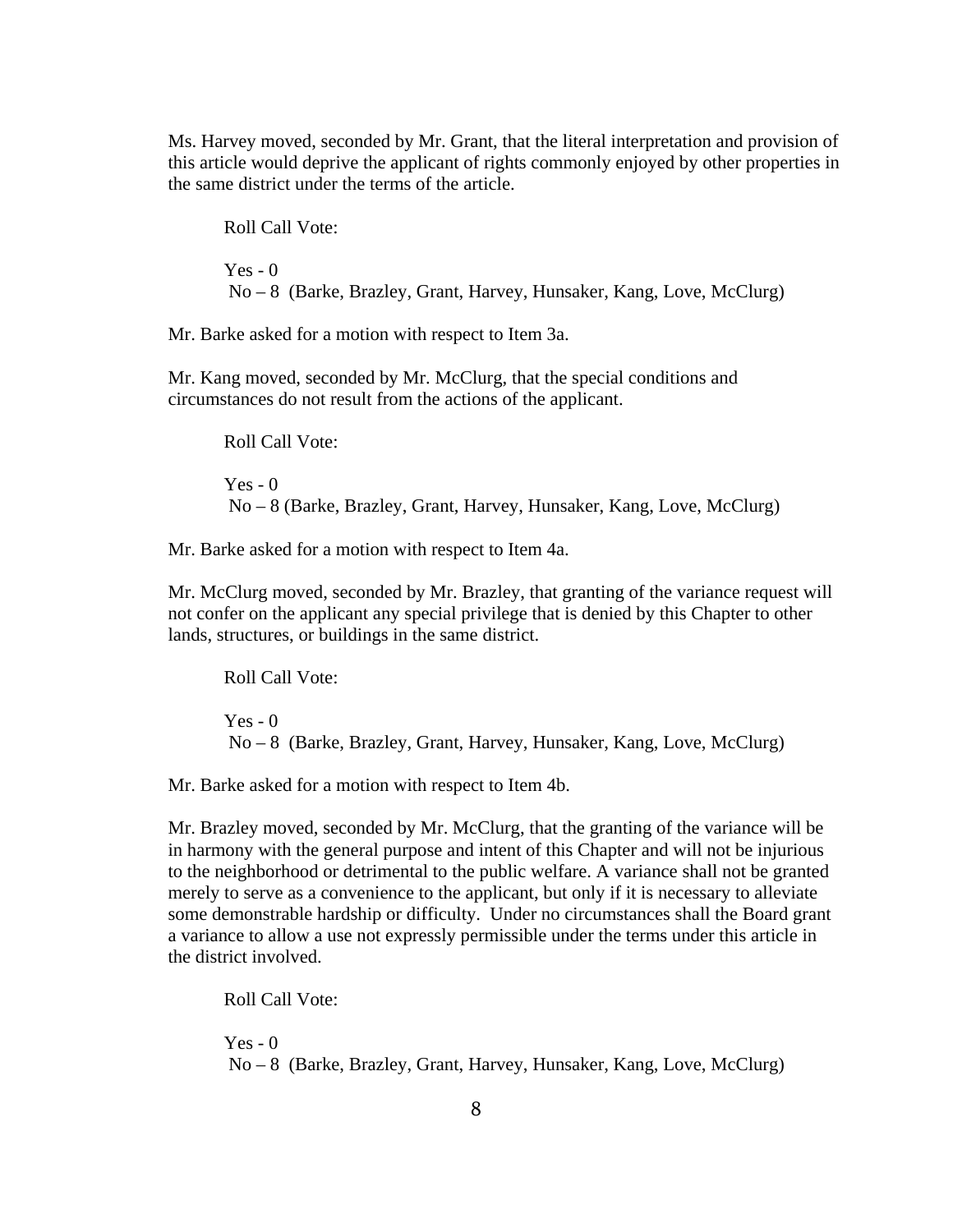Ms. Harvey moved, seconded by Mr. Grant, that the literal interpretation and provision of this article would deprive the applicant of rights commonly enjoyed by other properties in the same district under the terms of the article.

Roll Call Vote:  $Yes - 0$ No – 8 (Barke, Brazley, Grant, Harvey, Hunsaker, Kang, Love, McClurg)

Mr. Barke asked for a motion with respect to Item 3a.

Mr. Kang moved, seconded by Mr. McClurg, that the special conditions and circumstances do not result from the actions of the applicant.

Roll Call Vote:  $Yes - 0$ No – 8 (Barke, Brazley, Grant, Harvey, Hunsaker, Kang, Love, McClurg)

Mr. Barke asked for a motion with respect to Item 4a.

Mr. McClurg moved, seconded by Mr. Brazley, that granting of the variance request will not confer on the applicant any special privilege that is denied by this Chapter to other lands, structures, or buildings in the same district.

Roll Call Vote:  $Yes - 0$ No – 8 (Barke, Brazley, Grant, Harvey, Hunsaker, Kang, Love, McClurg)

Mr. Barke asked for a motion with respect to Item 4b.

Mr. Brazley moved, seconded by Mr. McClurg, that the granting of the variance will be in harmony with the general purpose and intent of this Chapter and will not be injurious to the neighborhood or detrimental to the public welfare. A variance shall not be granted merely to serve as a convenience to the applicant, but only if it is necessary to alleviate some demonstrable hardship or difficulty. Under no circumstances shall the Board grant a variance to allow a use not expressly permissible under the terms under this article in the district involved.

Roll Call Vote:

 $Yes - 0$ No – 8 (Barke, Brazley, Grant, Harvey, Hunsaker, Kang, Love, McClurg)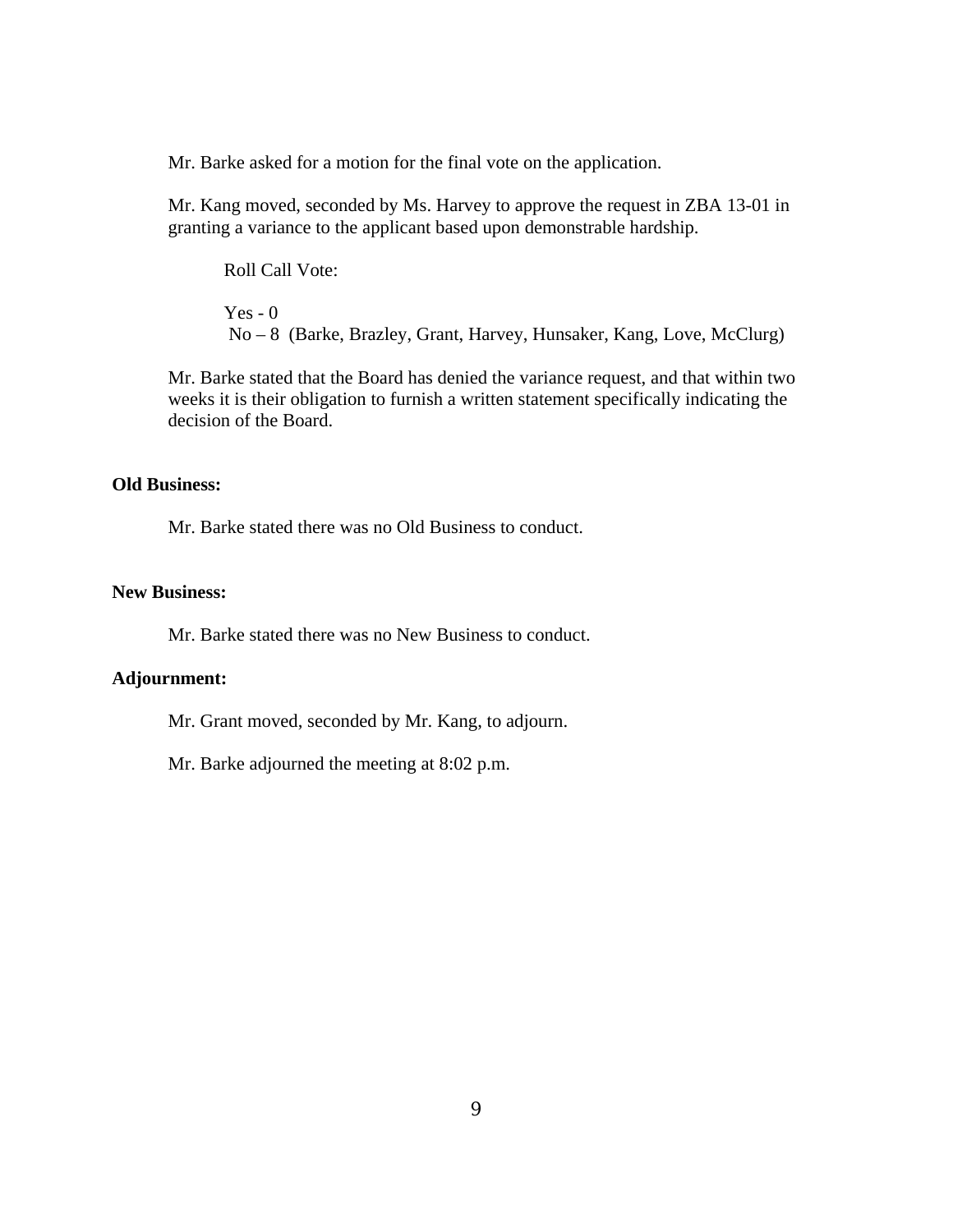Mr. Barke asked for a motion for the final vote on the application.

Mr. Kang moved, seconded by Ms. Harvey to approve the request in ZBA 13-01 in granting a variance to the applicant based upon demonstrable hardship.

Roll Call Vote:

 $Yes - 0$ No – 8 (Barke, Brazley, Grant, Harvey, Hunsaker, Kang, Love, McClurg)

Mr. Barke stated that the Board has denied the variance request, and that within two weeks it is their obligation to furnish a written statement specifically indicating the decision of the Board.

#### **Old Business:**

Mr. Barke stated there was no Old Business to conduct.

#### **New Business:**

Mr. Barke stated there was no New Business to conduct.

#### **Adjournment:**

Mr. Grant moved, seconded by Mr. Kang, to adjourn.

Mr. Barke adjourned the meeting at 8:02 p.m.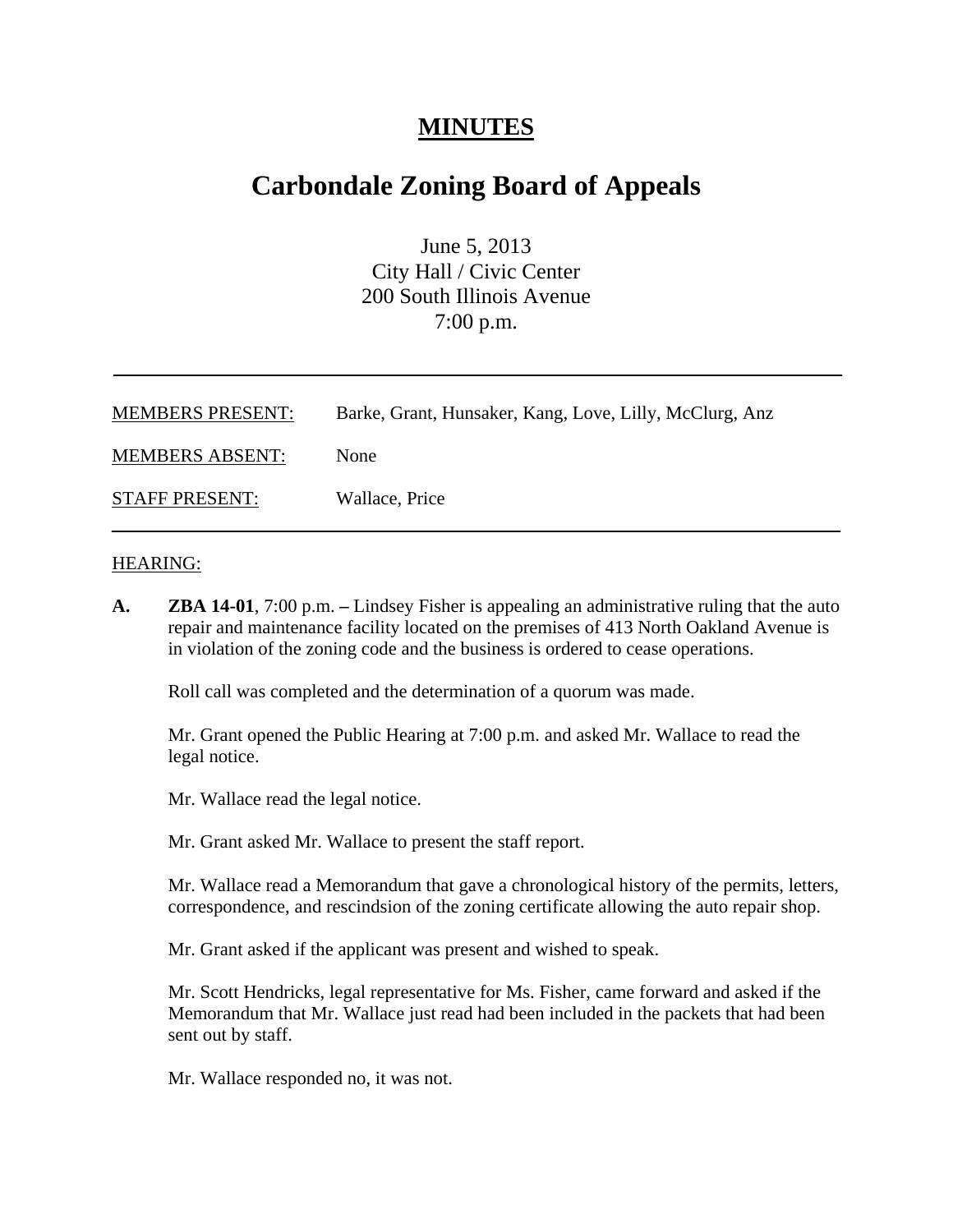## **MINUTES**

## **Carbondale Zoning Board of Appeals**

June 5, 2013 City Hall / Civic Center 200 South Illinois Avenue 7:00 p.m.

| <b>MEMBERS PRESENT:</b> | Barke, Grant, Hunsaker, Kang, Love, Lilly, McClurg, Anz |
|-------------------------|---------------------------------------------------------|
| <b>MEMBERS ABSENT:</b>  | <b>None</b>                                             |
| <b>STAFF PRESENT:</b>   | Wallace, Price                                          |

#### HEARING:

**A. ZBA 14-01**, 7:00 p.m. **–** Lindsey Fisher is appealing an administrative ruling that the auto repair and maintenance facility located on the premises of 413 North Oakland Avenue is in violation of the zoning code and the business is ordered to cease operations.

Roll call was completed and the determination of a quorum was made.

Mr. Grant opened the Public Hearing at 7:00 p.m. and asked Mr. Wallace to read the legal notice.

Mr. Wallace read the legal notice.

Mr. Grant asked Mr. Wallace to present the staff report.

Mr. Wallace read a Memorandum that gave a chronological history of the permits, letters, correspondence, and rescindsion of the zoning certificate allowing the auto repair shop.

Mr. Grant asked if the applicant was present and wished to speak.

Mr. Scott Hendricks, legal representative for Ms. Fisher, came forward and asked if the Memorandum that Mr. Wallace just read had been included in the packets that had been sent out by staff.

Mr. Wallace responded no, it was not.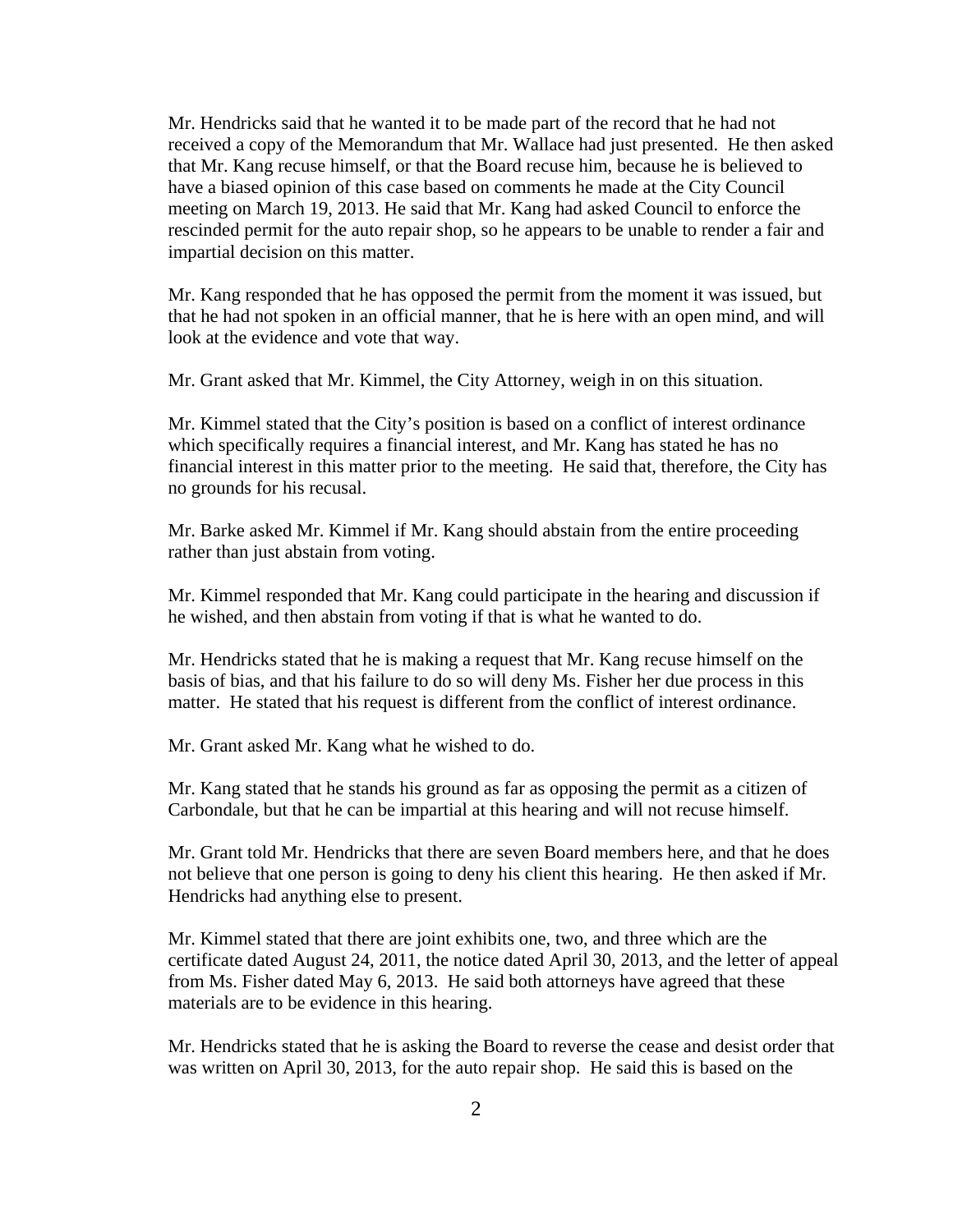Mr. Hendricks said that he wanted it to be made part of the record that he had not received a copy of the Memorandum that Mr. Wallace had just presented. He then asked that Mr. Kang recuse himself, or that the Board recuse him, because he is believed to have a biased opinion of this case based on comments he made at the City Council meeting on March 19, 2013. He said that Mr. Kang had asked Council to enforce the rescinded permit for the auto repair shop, so he appears to be unable to render a fair and impartial decision on this matter.

Mr. Kang responded that he has opposed the permit from the moment it was issued, but that he had not spoken in an official manner, that he is here with an open mind, and will look at the evidence and vote that way.

Mr. Grant asked that Mr. Kimmel, the City Attorney, weigh in on this situation.

Mr. Kimmel stated that the City's position is based on a conflict of interest ordinance which specifically requires a financial interest, and Mr. Kang has stated he has no financial interest in this matter prior to the meeting. He said that, therefore, the City has no grounds for his recusal.

Mr. Barke asked Mr. Kimmel if Mr. Kang should abstain from the entire proceeding rather than just abstain from voting.

Mr. Kimmel responded that Mr. Kang could participate in the hearing and discussion if he wished, and then abstain from voting if that is what he wanted to do.

Mr. Hendricks stated that he is making a request that Mr. Kang recuse himself on the basis of bias, and that his failure to do so will deny Ms. Fisher her due process in this matter. He stated that his request is different from the conflict of interest ordinance.

Mr. Grant asked Mr. Kang what he wished to do.

Mr. Kang stated that he stands his ground as far as opposing the permit as a citizen of Carbondale, but that he can be impartial at this hearing and will not recuse himself.

Mr. Grant told Mr. Hendricks that there are seven Board members here, and that he does not believe that one person is going to deny his client this hearing. He then asked if Mr. Hendricks had anything else to present.

Mr. Kimmel stated that there are joint exhibits one, two, and three which are the certificate dated August 24, 2011, the notice dated April 30, 2013, and the letter of appeal from Ms. Fisher dated May 6, 2013. He said both attorneys have agreed that these materials are to be evidence in this hearing.

Mr. Hendricks stated that he is asking the Board to reverse the cease and desist order that was written on April 30, 2013, for the auto repair shop. He said this is based on the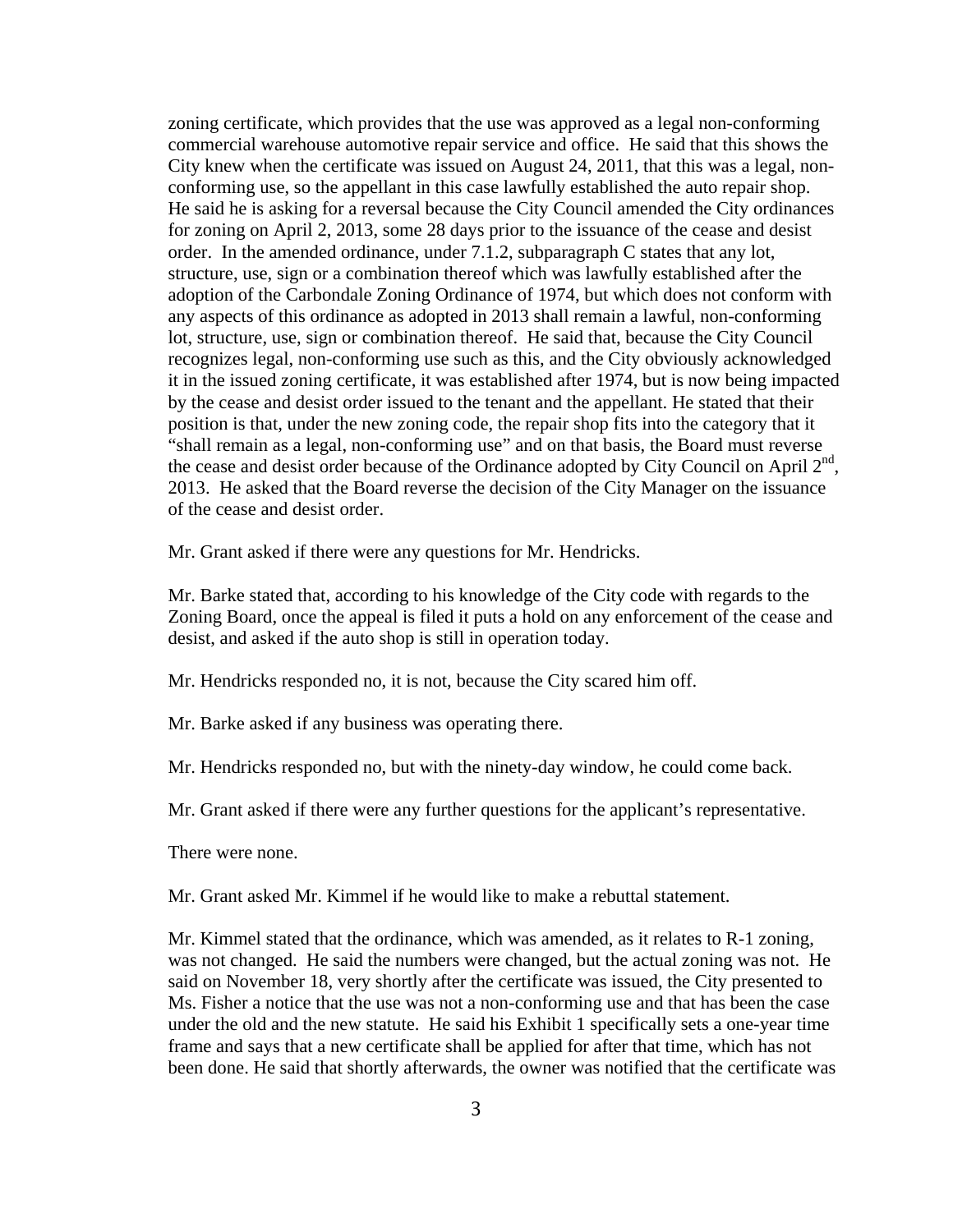zoning certificate, which provides that the use was approved as a legal non-conforming commercial warehouse automotive repair service and office. He said that this shows the City knew when the certificate was issued on August 24, 2011, that this was a legal, nonconforming use, so the appellant in this case lawfully established the auto repair shop. He said he is asking for a reversal because the City Council amended the City ordinances for zoning on April 2, 2013, some 28 days prior to the issuance of the cease and desist order. In the amended ordinance, under 7.1.2, subparagraph C states that any lot, structure, use, sign or a combination thereof which was lawfully established after the adoption of the Carbondale Zoning Ordinance of 1974, but which does not conform with any aspects of this ordinance as adopted in 2013 shall remain a lawful, non-conforming lot, structure, use, sign or combination thereof. He said that, because the City Council recognizes legal, non-conforming use such as this, and the City obviously acknowledged it in the issued zoning certificate, it was established after 1974, but is now being impacted by the cease and desist order issued to the tenant and the appellant. He stated that their position is that, under the new zoning code, the repair shop fits into the category that it "shall remain as a legal, non-conforming use" and on that basis, the Board must reverse the cease and desist order because of the Ordinance adopted by City Council on April  $2<sup>nd</sup>$ , 2013. He asked that the Board reverse the decision of the City Manager on the issuance of the cease and desist order.

Mr. Grant asked if there were any questions for Mr. Hendricks.

Mr. Barke stated that, according to his knowledge of the City code with regards to the Zoning Board, once the appeal is filed it puts a hold on any enforcement of the cease and desist, and asked if the auto shop is still in operation today.

Mr. Hendricks responded no, it is not, because the City scared him off.

Mr. Barke asked if any business was operating there.

Mr. Hendricks responded no, but with the ninety-day window, he could come back.

Mr. Grant asked if there were any further questions for the applicant's representative.

There were none.

Mr. Grant asked Mr. Kimmel if he would like to make a rebuttal statement.

Mr. Kimmel stated that the ordinance, which was amended, as it relates to R-1 zoning, was not changed. He said the numbers were changed, but the actual zoning was not. He said on November 18, very shortly after the certificate was issued, the City presented to Ms. Fisher a notice that the use was not a non-conforming use and that has been the case under the old and the new statute. He said his Exhibit 1 specifically sets a one-year time frame and says that a new certificate shall be applied for after that time, which has not been done. He said that shortly afterwards, the owner was notified that the certificate was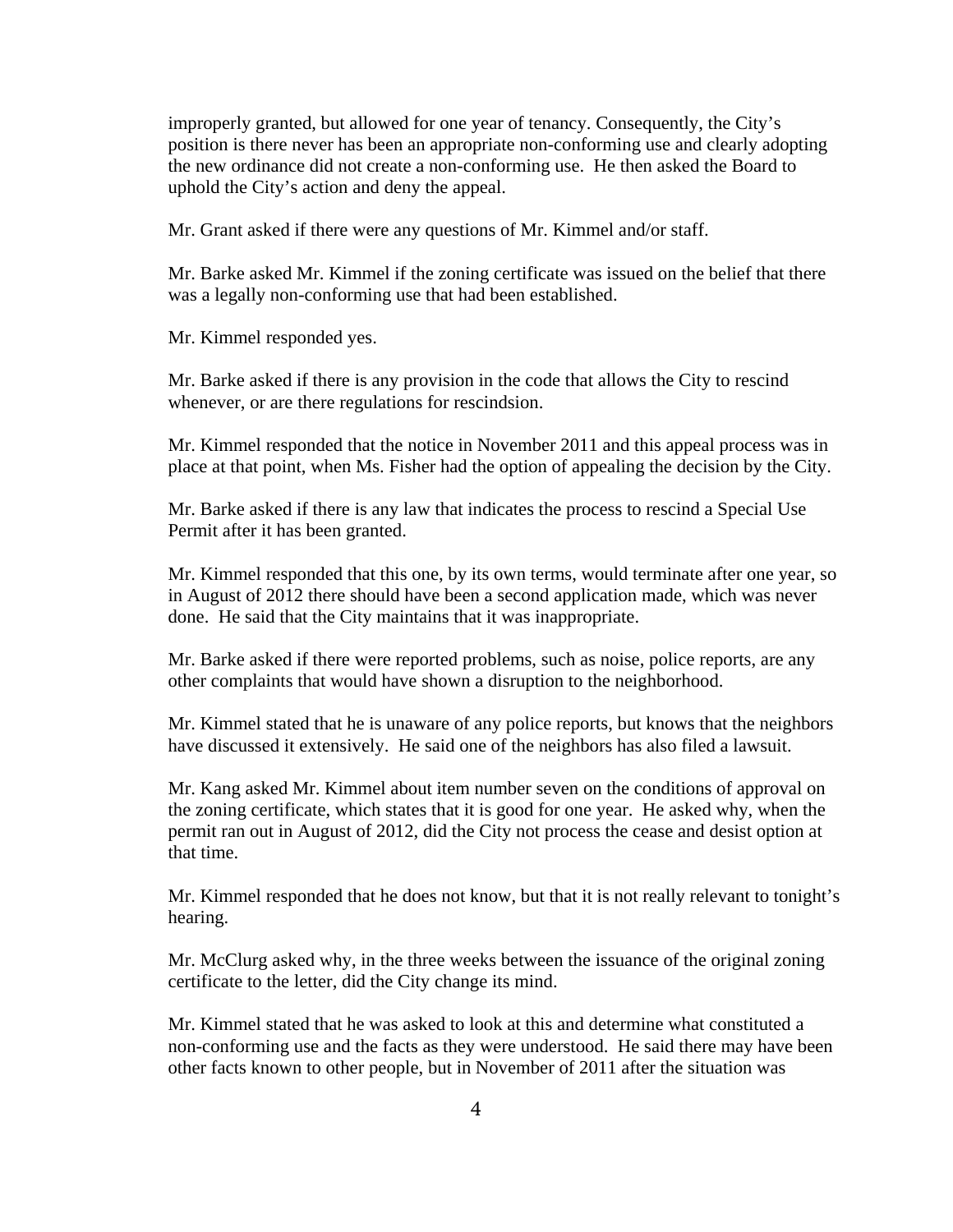improperly granted, but allowed for one year of tenancy. Consequently, the City's position is there never has been an appropriate non-conforming use and clearly adopting the new ordinance did not create a non-conforming use. He then asked the Board to uphold the City's action and deny the appeal.

Mr. Grant asked if there were any questions of Mr. Kimmel and/or staff.

Mr. Barke asked Mr. Kimmel if the zoning certificate was issued on the belief that there was a legally non-conforming use that had been established.

Mr. Kimmel responded yes.

Mr. Barke asked if there is any provision in the code that allows the City to rescind whenever, or are there regulations for rescindsion.

Mr. Kimmel responded that the notice in November 2011 and this appeal process was in place at that point, when Ms. Fisher had the option of appealing the decision by the City.

Mr. Barke asked if there is any law that indicates the process to rescind a Special Use Permit after it has been granted.

Mr. Kimmel responded that this one, by its own terms, would terminate after one year, so in August of 2012 there should have been a second application made, which was never done. He said that the City maintains that it was inappropriate.

Mr. Barke asked if there were reported problems, such as noise, police reports, are any other complaints that would have shown a disruption to the neighborhood.

Mr. Kimmel stated that he is unaware of any police reports, but knows that the neighbors have discussed it extensively. He said one of the neighbors has also filed a lawsuit.

Mr. Kang asked Mr. Kimmel about item number seven on the conditions of approval on the zoning certificate, which states that it is good for one year. He asked why, when the permit ran out in August of 2012, did the City not process the cease and desist option at that time.

Mr. Kimmel responded that he does not know, but that it is not really relevant to tonight's hearing.

Mr. McClurg asked why, in the three weeks between the issuance of the original zoning certificate to the letter, did the City change its mind.

Mr. Kimmel stated that he was asked to look at this and determine what constituted a non-conforming use and the facts as they were understood. He said there may have been other facts known to other people, but in November of 2011 after the situation was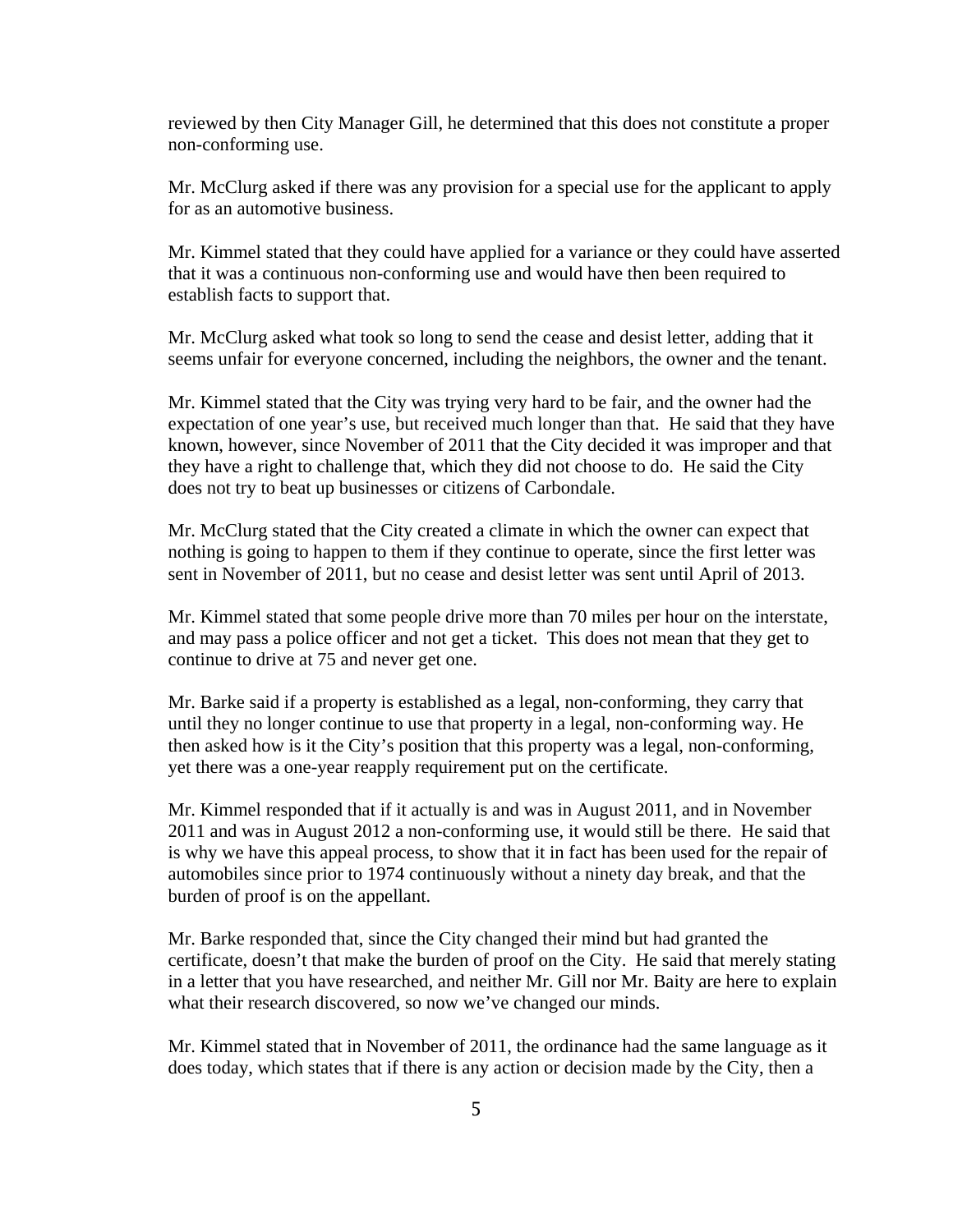reviewed by then City Manager Gill, he determined that this does not constitute a proper non-conforming use.

Mr. McClurg asked if there was any provision for a special use for the applicant to apply for as an automotive business.

Mr. Kimmel stated that they could have applied for a variance or they could have asserted that it was a continuous non-conforming use and would have then been required to establish facts to support that.

Mr. McClurg asked what took so long to send the cease and desist letter, adding that it seems unfair for everyone concerned, including the neighbors, the owner and the tenant.

Mr. Kimmel stated that the City was trying very hard to be fair, and the owner had the expectation of one year's use, but received much longer than that. He said that they have known, however, since November of 2011 that the City decided it was improper and that they have a right to challenge that, which they did not choose to do. He said the City does not try to beat up businesses or citizens of Carbondale.

Mr. McClurg stated that the City created a climate in which the owner can expect that nothing is going to happen to them if they continue to operate, since the first letter was sent in November of 2011, but no cease and desist letter was sent until April of 2013.

Mr. Kimmel stated that some people drive more than 70 miles per hour on the interstate, and may pass a police officer and not get a ticket. This does not mean that they get to continue to drive at 75 and never get one.

Mr. Barke said if a property is established as a legal, non-conforming, they carry that until they no longer continue to use that property in a legal, non-conforming way. He then asked how is it the City's position that this property was a legal, non-conforming, yet there was a one-year reapply requirement put on the certificate.

Mr. Kimmel responded that if it actually is and was in August 2011, and in November 2011 and was in August 2012 a non-conforming use, it would still be there. He said that is why we have this appeal process, to show that it in fact has been used for the repair of automobiles since prior to 1974 continuously without a ninety day break, and that the burden of proof is on the appellant.

Mr. Barke responded that, since the City changed their mind but had granted the certificate, doesn't that make the burden of proof on the City. He said that merely stating in a letter that you have researched, and neither Mr. Gill nor Mr. Baity are here to explain what their research discovered, so now we've changed our minds.

Mr. Kimmel stated that in November of 2011, the ordinance had the same language as it does today, which states that if there is any action or decision made by the City, then a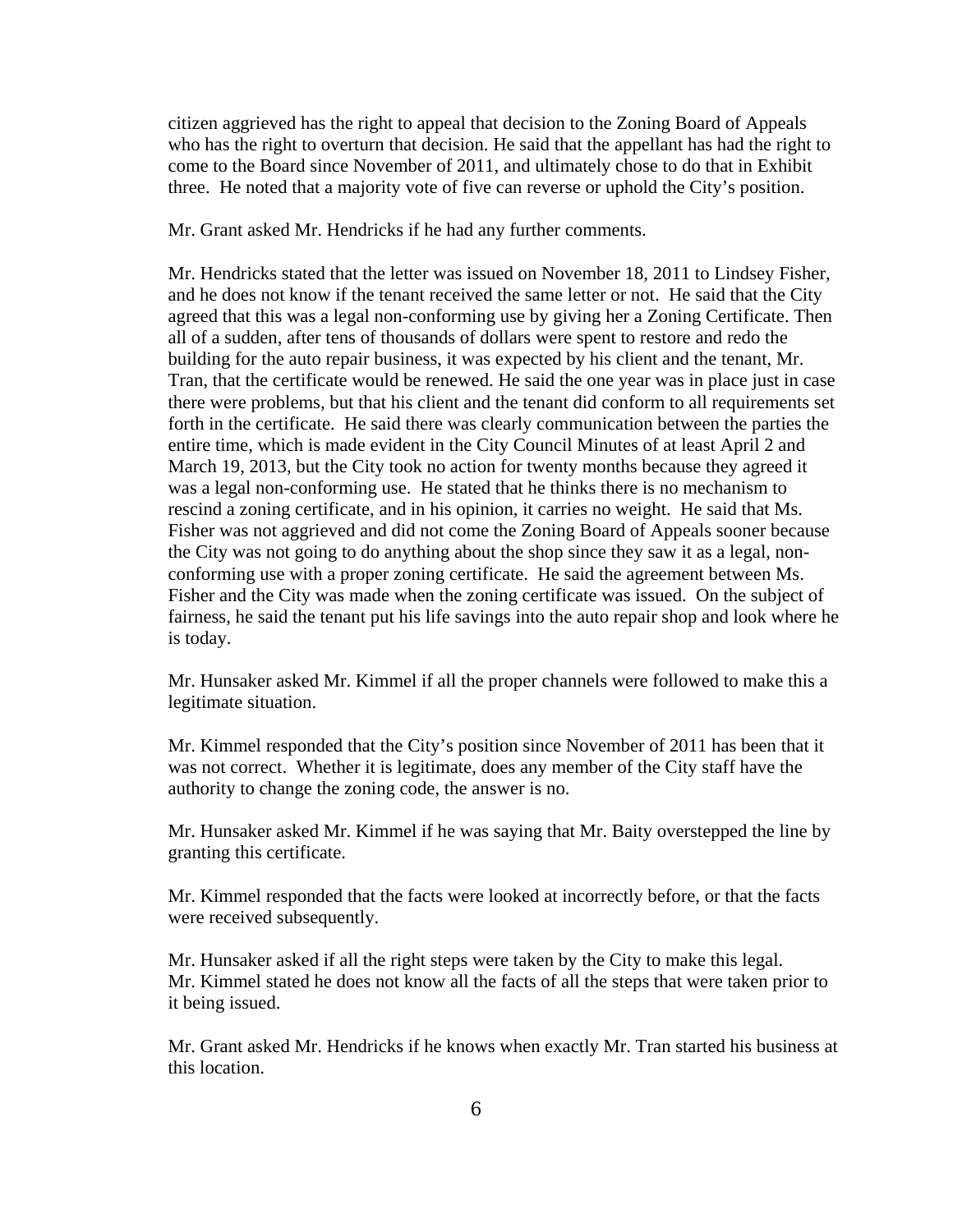citizen aggrieved has the right to appeal that decision to the Zoning Board of Appeals who has the right to overturn that decision. He said that the appellant has had the right to come to the Board since November of 2011, and ultimately chose to do that in Exhibit three. He noted that a majority vote of five can reverse or uphold the City's position.

Mr. Grant asked Mr. Hendricks if he had any further comments.

Mr. Hendricks stated that the letter was issued on November 18, 2011 to Lindsey Fisher, and he does not know if the tenant received the same letter or not. He said that the City agreed that this was a legal non-conforming use by giving her a Zoning Certificate. Then all of a sudden, after tens of thousands of dollars were spent to restore and redo the building for the auto repair business, it was expected by his client and the tenant, Mr. Tran, that the certificate would be renewed. He said the one year was in place just in case there were problems, but that his client and the tenant did conform to all requirements set forth in the certificate. He said there was clearly communication between the parties the entire time, which is made evident in the City Council Minutes of at least April 2 and March 19, 2013, but the City took no action for twenty months because they agreed it was a legal non-conforming use. He stated that he thinks there is no mechanism to rescind a zoning certificate, and in his opinion, it carries no weight. He said that Ms. Fisher was not aggrieved and did not come the Zoning Board of Appeals sooner because the City was not going to do anything about the shop since they saw it as a legal, nonconforming use with a proper zoning certificate. He said the agreement between Ms. Fisher and the City was made when the zoning certificate was issued. On the subject of fairness, he said the tenant put his life savings into the auto repair shop and look where he is today.

Mr. Hunsaker asked Mr. Kimmel if all the proper channels were followed to make this a legitimate situation.

Mr. Kimmel responded that the City's position since November of 2011 has been that it was not correct. Whether it is legitimate, does any member of the City staff have the authority to change the zoning code, the answer is no.

Mr. Hunsaker asked Mr. Kimmel if he was saying that Mr. Baity overstepped the line by granting this certificate.

Mr. Kimmel responded that the facts were looked at incorrectly before, or that the facts were received subsequently.

Mr. Hunsaker asked if all the right steps were taken by the City to make this legal. Mr. Kimmel stated he does not know all the facts of all the steps that were taken prior to it being issued.

Mr. Grant asked Mr. Hendricks if he knows when exactly Mr. Tran started his business at this location.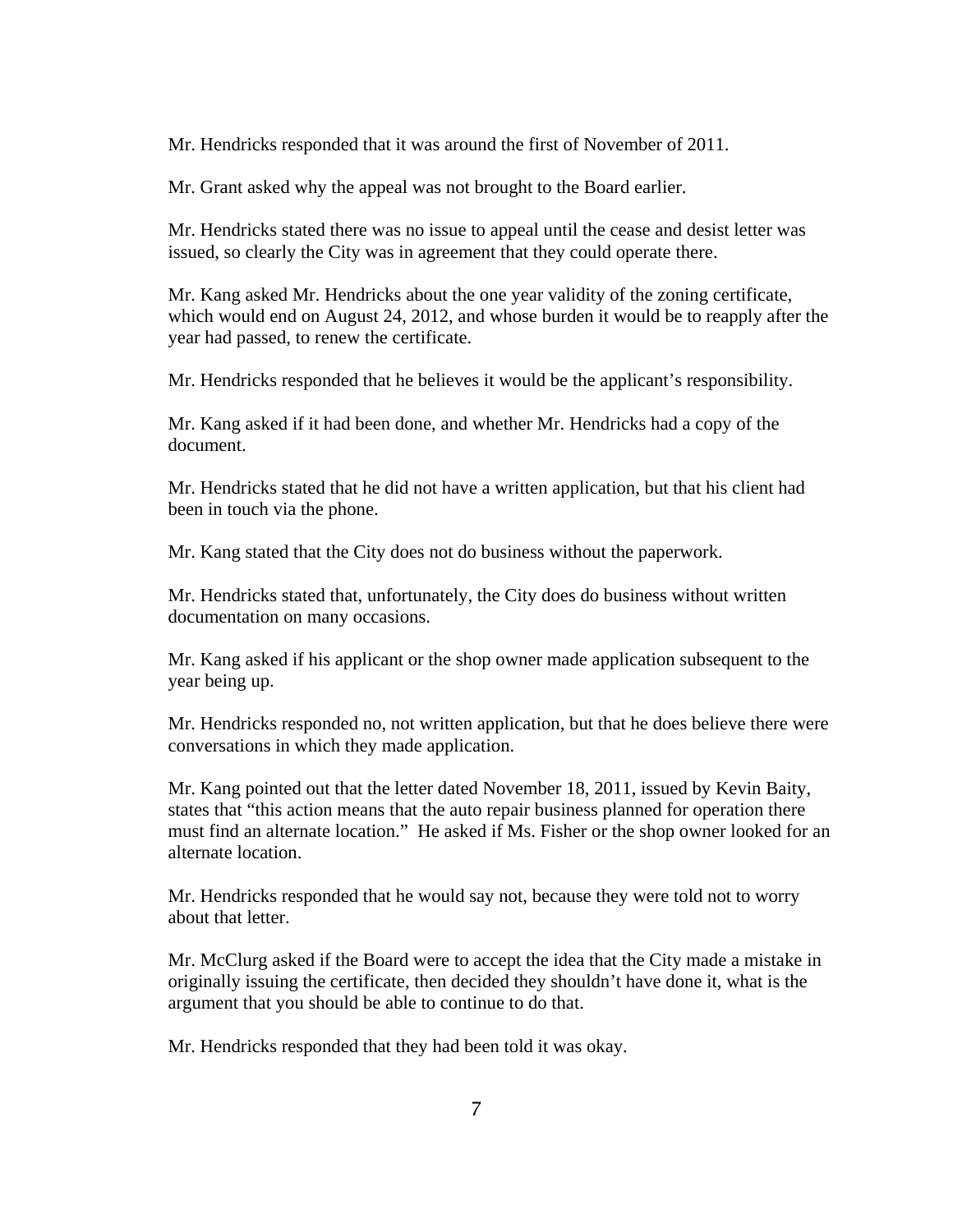Mr. Hendricks responded that it was around the first of November of 2011.

Mr. Grant asked why the appeal was not brought to the Board earlier.

Mr. Hendricks stated there was no issue to appeal until the cease and desist letter was issued, so clearly the City was in agreement that they could operate there.

Mr. Kang asked Mr. Hendricks about the one year validity of the zoning certificate, which would end on August 24, 2012, and whose burden it would be to reapply after the year had passed, to renew the certificate.

Mr. Hendricks responded that he believes it would be the applicant's responsibility.

Mr. Kang asked if it had been done, and whether Mr. Hendricks had a copy of the document.

Mr. Hendricks stated that he did not have a written application, but that his client had been in touch via the phone.

Mr. Kang stated that the City does not do business without the paperwork.

Mr. Hendricks stated that, unfortunately, the City does do business without written documentation on many occasions.

Mr. Kang asked if his applicant or the shop owner made application subsequent to the year being up.

Mr. Hendricks responded no, not written application, but that he does believe there were conversations in which they made application.

Mr. Kang pointed out that the letter dated November 18, 2011, issued by Kevin Baity, states that "this action means that the auto repair business planned for operation there must find an alternate location." He asked if Ms. Fisher or the shop owner looked for an alternate location.

Mr. Hendricks responded that he would say not, because they were told not to worry about that letter.

Mr. McClurg asked if the Board were to accept the idea that the City made a mistake in originally issuing the certificate, then decided they shouldn't have done it, what is the argument that you should be able to continue to do that.

Mr. Hendricks responded that they had been told it was okay.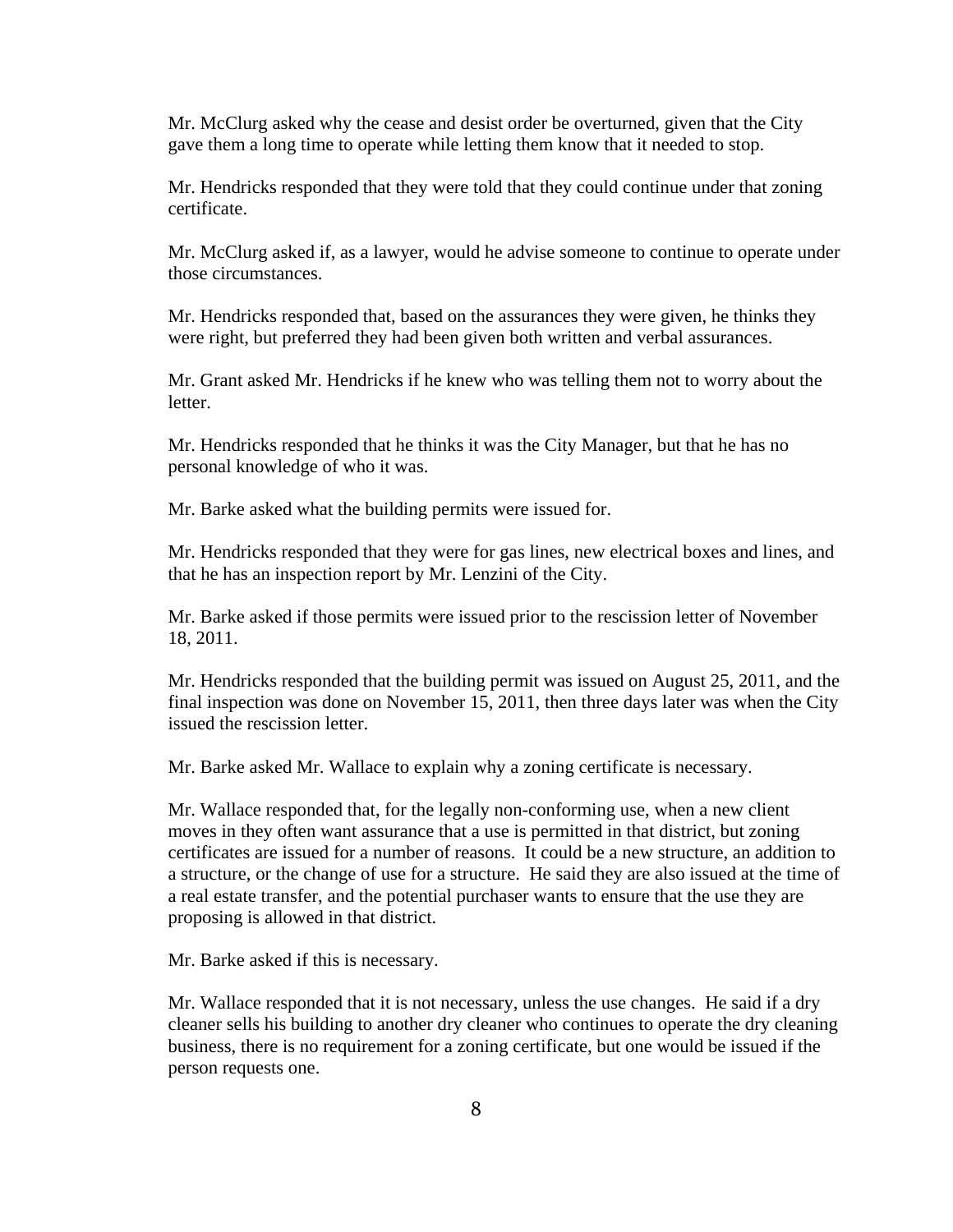Mr. McClurg asked why the cease and desist order be overturned, given that the City gave them a long time to operate while letting them know that it needed to stop.

Mr. Hendricks responded that they were told that they could continue under that zoning certificate.

Mr. McClurg asked if, as a lawyer, would he advise someone to continue to operate under those circumstances.

Mr. Hendricks responded that, based on the assurances they were given, he thinks they were right, but preferred they had been given both written and verbal assurances.

Mr. Grant asked Mr. Hendricks if he knew who was telling them not to worry about the letter.

Mr. Hendricks responded that he thinks it was the City Manager, but that he has no personal knowledge of who it was.

Mr. Barke asked what the building permits were issued for.

Mr. Hendricks responded that they were for gas lines, new electrical boxes and lines, and that he has an inspection report by Mr. Lenzini of the City.

Mr. Barke asked if those permits were issued prior to the rescission letter of November 18, 2011.

Mr. Hendricks responded that the building permit was issued on August 25, 2011, and the final inspection was done on November 15, 2011, then three days later was when the City issued the rescission letter.

Mr. Barke asked Mr. Wallace to explain why a zoning certificate is necessary.

Mr. Wallace responded that, for the legally non-conforming use, when a new client moves in they often want assurance that a use is permitted in that district, but zoning certificates are issued for a number of reasons. It could be a new structure, an addition to a structure, or the change of use for a structure. He said they are also issued at the time of a real estate transfer, and the potential purchaser wants to ensure that the use they are proposing is allowed in that district.

Mr. Barke asked if this is necessary.

Mr. Wallace responded that it is not necessary, unless the use changes. He said if a dry cleaner sells his building to another dry cleaner who continues to operate the dry cleaning business, there is no requirement for a zoning certificate, but one would be issued if the person requests one.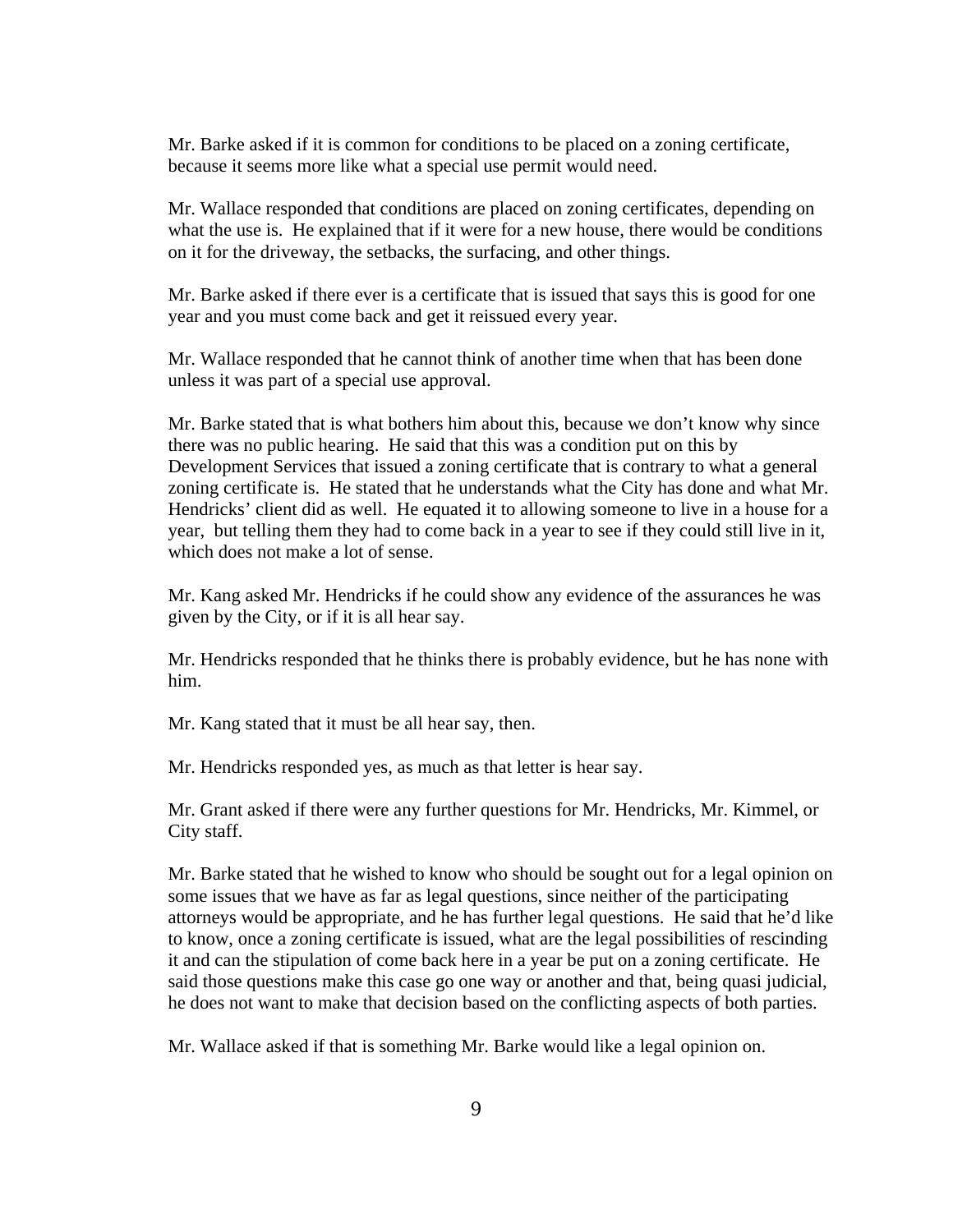Mr. Barke asked if it is common for conditions to be placed on a zoning certificate, because it seems more like what a special use permit would need.

Mr. Wallace responded that conditions are placed on zoning certificates, depending on what the use is. He explained that if it were for a new house, there would be conditions on it for the driveway, the setbacks, the surfacing, and other things.

Mr. Barke asked if there ever is a certificate that is issued that says this is good for one year and you must come back and get it reissued every year.

Mr. Wallace responded that he cannot think of another time when that has been done unless it was part of a special use approval.

Mr. Barke stated that is what bothers him about this, because we don't know why since there was no public hearing. He said that this was a condition put on this by Development Services that issued a zoning certificate that is contrary to what a general zoning certificate is. He stated that he understands what the City has done and what Mr. Hendricks' client did as well. He equated it to allowing someone to live in a house for a year, but telling them they had to come back in a year to see if they could still live in it, which does not make a lot of sense.

Mr. Kang asked Mr. Hendricks if he could show any evidence of the assurances he was given by the City, or if it is all hear say.

Mr. Hendricks responded that he thinks there is probably evidence, but he has none with him.

Mr. Kang stated that it must be all hear say, then.

Mr. Hendricks responded yes, as much as that letter is hear say.

Mr. Grant asked if there were any further questions for Mr. Hendricks, Mr. Kimmel, or City staff.

Mr. Barke stated that he wished to know who should be sought out for a legal opinion on some issues that we have as far as legal questions, since neither of the participating attorneys would be appropriate, and he has further legal questions. He said that he'd like to know, once a zoning certificate is issued, what are the legal possibilities of rescinding it and can the stipulation of come back here in a year be put on a zoning certificate. He said those questions make this case go one way or another and that, being quasi judicial, he does not want to make that decision based on the conflicting aspects of both parties.

Mr. Wallace asked if that is something Mr. Barke would like a legal opinion on.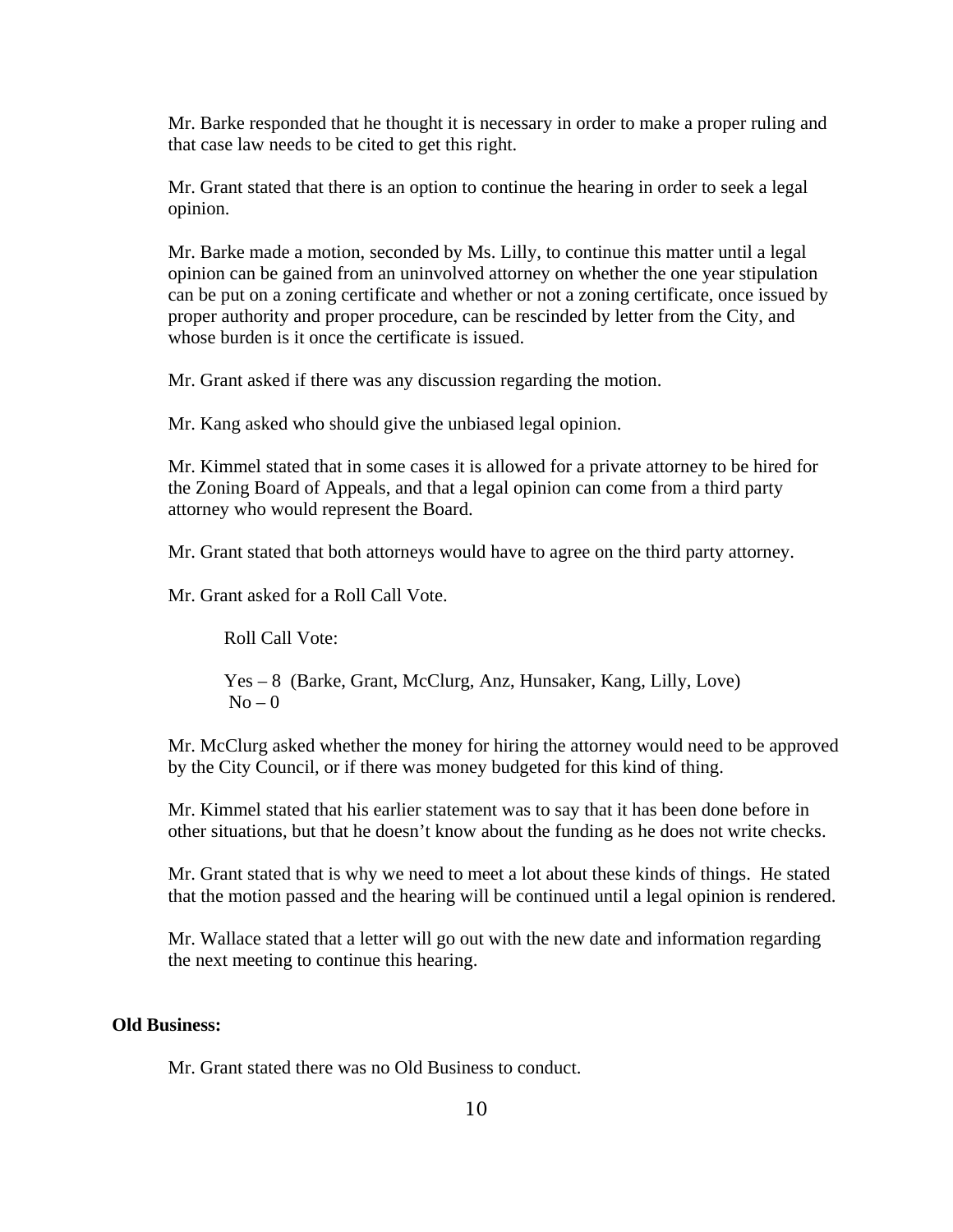Mr. Barke responded that he thought it is necessary in order to make a proper ruling and that case law needs to be cited to get this right.

Mr. Grant stated that there is an option to continue the hearing in order to seek a legal opinion.

Mr. Barke made a motion, seconded by Ms. Lilly, to continue this matter until a legal opinion can be gained from an uninvolved attorney on whether the one year stipulation can be put on a zoning certificate and whether or not a zoning certificate, once issued by proper authority and proper procedure, can be rescinded by letter from the City, and whose burden is it once the certificate is issued.

Mr. Grant asked if there was any discussion regarding the motion.

Mr. Kang asked who should give the unbiased legal opinion.

Mr. Kimmel stated that in some cases it is allowed for a private attorney to be hired for the Zoning Board of Appeals, and that a legal opinion can come from a third party attorney who would represent the Board.

Mr. Grant stated that both attorneys would have to agree on the third party attorney.

Mr. Grant asked for a Roll Call Vote.

Roll Call Vote:

 Yes – 8 (Barke, Grant, McClurg, Anz, Hunsaker, Kang, Lilly, Love)  $No - 0$ 

Mr. McClurg asked whether the money for hiring the attorney would need to be approved by the City Council, or if there was money budgeted for this kind of thing.

Mr. Kimmel stated that his earlier statement was to say that it has been done before in other situations, but that he doesn't know about the funding as he does not write checks.

Mr. Grant stated that is why we need to meet a lot about these kinds of things. He stated that the motion passed and the hearing will be continued until a legal opinion is rendered.

Mr. Wallace stated that a letter will go out with the new date and information regarding the next meeting to continue this hearing.

#### **Old Business:**

Mr. Grant stated there was no Old Business to conduct.